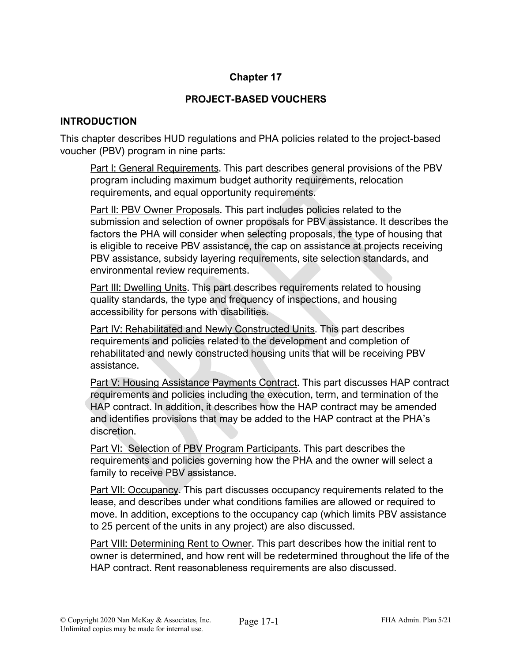### **Chapter 17**

#### **PROJECT-BASED VOUCHERS**

#### **INTRODUCTION**

This chapter describes HUD regulations and PHA policies related to the project-based voucher (PBV) program in nine parts:

Part I: General Requirements. This part describes general provisions of the PBV program including maximum budget authority requirements, relocation requirements, and equal opportunity requirements.

Part II: PBV Owner Proposals. This part includes policies related to the submission and selection of owner proposals for PBV assistance. It describes the factors the PHA will consider when selecting proposals, the type of housing that is eligible to receive PBV assistance, the cap on assistance at projects receiving PBV assistance, subsidy layering requirements, site selection standards, and environmental review requirements.

Part III: Dwelling Units. This part describes requirements related to housing quality standards, the type and frequency of inspections, and housing accessibility for persons with disabilities.

Part IV: Rehabilitated and Newly Constructed Units. This part describes requirements and policies related to the development and completion of rehabilitated and newly constructed housing units that will be receiving PBV assistance.

Part V: Housing Assistance Payments Contract. This part discusses HAP contract requirements and policies including the execution, term, and termination of the HAP contract. In addition, it describes how the HAP contract may be amended and identifies provisions that may be added to the HAP contract at the PHA's discretion.

Part VI: Selection of PBV Program Participants. This part describes the requirements and policies governing how the PHA and the owner will select a family to receive PBV assistance.

Part VII: Occupancy. This part discusses occupancy requirements related to the lease, and describes under what conditions families are allowed or required to move. In addition, exceptions to the occupancy cap (which limits PBV assistance to 25 percent of the units in any project) are also discussed.

Part VIII: Determining Rent to Owner. This part describes how the initial rent to owner is determined, and how rent will be redetermined throughout the life of the HAP contract. Rent reasonableness requirements are also discussed.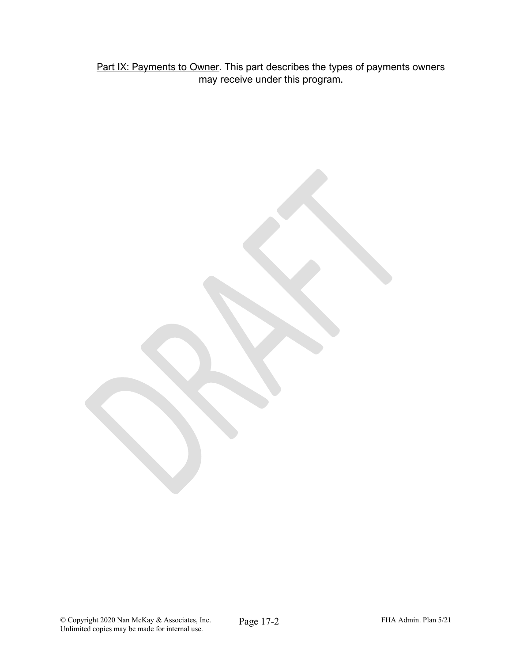Part IX: Payments to Owner. This part describes the types of payments owners may receive under this program.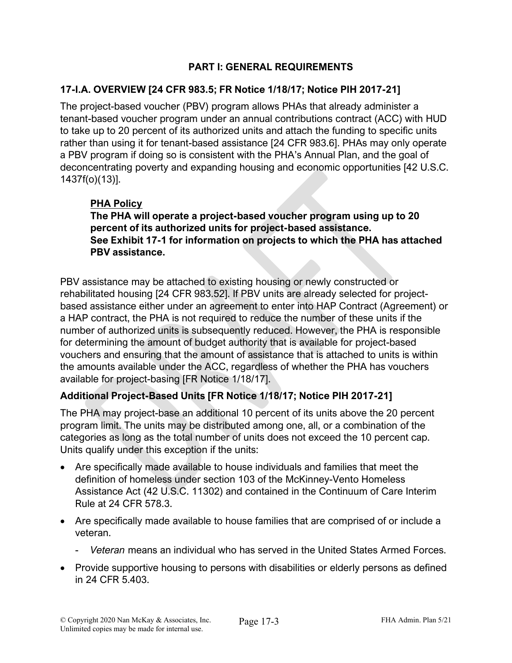### **PART I: GENERAL REQUIREMENTS**

### **17-I.A. OVERVIEW [24 CFR 983.5; FR Notice 1/18/17; Notice PIH 2017-21]**

The project-based voucher (PBV) program allows PHAs that already administer a tenant-based voucher program under an annual contributions contract (ACC) with HUD to take up to 20 percent of its authorized units and attach the funding to specific units rather than using it for tenant-based assistance [24 CFR 983.6]. PHAs may only operate a PBV program if doing so is consistent with the PHA's Annual Plan, and the goal of deconcentrating poverty and expanding housing and economic opportunities [42 U.S.C. 1437f(o)(13)].

### **PHA Policy**

**The PHA will operate a project-based voucher program using up to 20 percent of its authorized units for project-based assistance. See Exhibit 17-1 for information on projects to which the PHA has attached PBV assistance.**

PBV assistance may be attached to existing housing or newly constructed or rehabilitated housing [24 CFR 983.52]. If PBV units are already selected for projectbased assistance either under an agreement to enter into HAP Contract (Agreement) or a HAP contract, the PHA is not required to reduce the number of these units if the number of authorized units is subsequently reduced. However, the PHA is responsible for determining the amount of budget authority that is available for project-based vouchers and ensuring that the amount of assistance that is attached to units is within the amounts available under the ACC, regardless of whether the PHA has vouchers available for project-basing [FR Notice 1/18/17].

# **Additional Project-Based Units [FR Notice 1/18/17; Notice PIH 2017-21]**

The PHA may project-base an additional 10 percent of its units above the 20 percent program limit. The units may be distributed among one, all, or a combination of the categories as long as the total number of units does not exceed the 10 percent cap. Units qualify under this exception if the units:

- Are specifically made available to house individuals and families that meet the definition of homeless under section 103 of the McKinney-Vento Homeless Assistance Act (42 U.S.C. 11302) and contained in the Continuum of Care Interim Rule at 24 CFR 578.3.
- Are specifically made available to house families that are comprised of or include a veteran.
	- *Veteran* means an individual who has served in the United States Armed Forces.
- Provide supportive housing to persons with disabilities or elderly persons as defined in 24 CFR 5.403.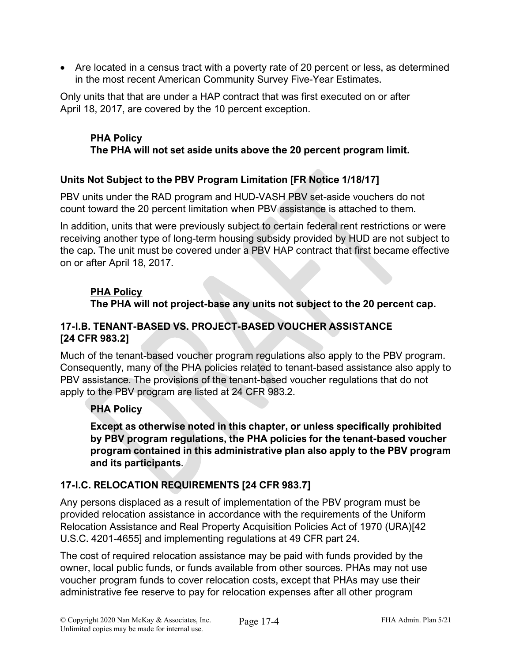• Are located in a census tract with a poverty rate of 20 percent or less, as determined in the most recent American Community Survey Five-Year Estimates.

Only units that that are under a HAP contract that was first executed on or after April 18, 2017, are covered by the 10 percent exception.

### **PHA Policy The PHA will not set aside units above the 20 percent program limit.**

### **Units Not Subject to the PBV Program Limitation [FR Notice 1/18/17]**

PBV units under the RAD program and HUD-VASH PBV set-aside vouchers do not count toward the 20 percent limitation when PBV assistance is attached to them.

In addition, units that were previously subject to certain federal rent restrictions or were receiving another type of long-term housing subsidy provided by HUD are not subject to the cap. The unit must be covered under a PBV HAP contract that first became effective on or after April 18, 2017.

### **PHA Policy**

**The PHA will not project-base any units not subject to the 20 percent cap.**

### **17-I.B. TENANT-BASED VS. PROJECT-BASED VOUCHER ASSISTANCE [24 CFR 983.2]**

Much of the tenant-based voucher program regulations also apply to the PBV program. Consequently, many of the PHA policies related to tenant-based assistance also apply to PBV assistance. The provisions of the tenant-based voucher regulations that do not apply to the PBV program are listed at 24 CFR 983.2.

### **PHA Policy**

**Except as otherwise noted in this chapter, or unless specifically prohibited by PBV program regulations, the PHA policies for the tenant-based voucher program contained in this administrative plan also apply to the PBV program and its participants**.

# **17-I.C. RELOCATION REQUIREMENTS [24 CFR 983.7]**

Any persons displaced as a result of implementation of the PBV program must be provided relocation assistance in accordance with the requirements of the Uniform Relocation Assistance and Real Property Acquisition Policies Act of 1970 (URA)[42 U.S.C. 4201-4655] and implementing regulations at 49 CFR part 24.

The cost of required relocation assistance may be paid with funds provided by the owner, local public funds, or funds available from other sources. PHAs may not use voucher program funds to cover relocation costs, except that PHAs may use their administrative fee reserve to pay for relocation expenses after all other program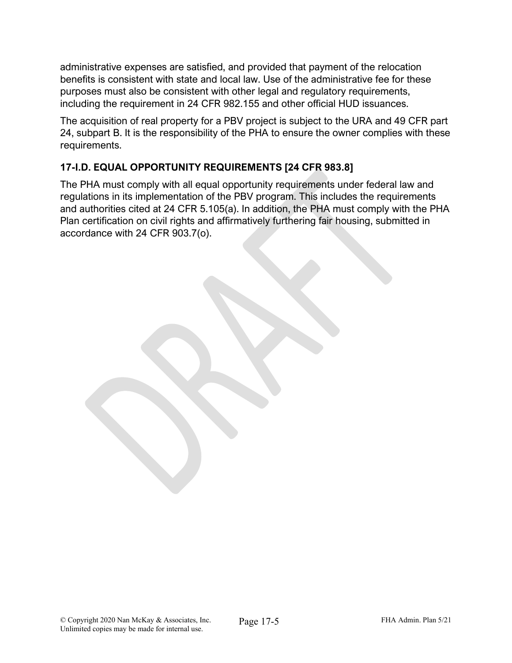administrative expenses are satisfied, and provided that payment of the relocation benefits is consistent with state and local law. Use of the administrative fee for these purposes must also be consistent with other legal and regulatory requirements, including the requirement in 24 CFR 982.155 and other official HUD issuances.

The acquisition of real property for a PBV project is subject to the URA and 49 CFR part 24, subpart B. It is the responsibility of the PHA to ensure the owner complies with these requirements.

# **17-I.D. EQUAL OPPORTUNITY REQUIREMENTS [24 CFR 983.8]**

The PHA must comply with all equal opportunity requirements under federal law and regulations in its implementation of the PBV program. This includes the requirements and authorities cited at 24 CFR 5.105(a). In addition, the PHA must comply with the PHA Plan certification on civil rights and affirmatively furthering fair housing, submitted in accordance with 24 CFR 903.7(o).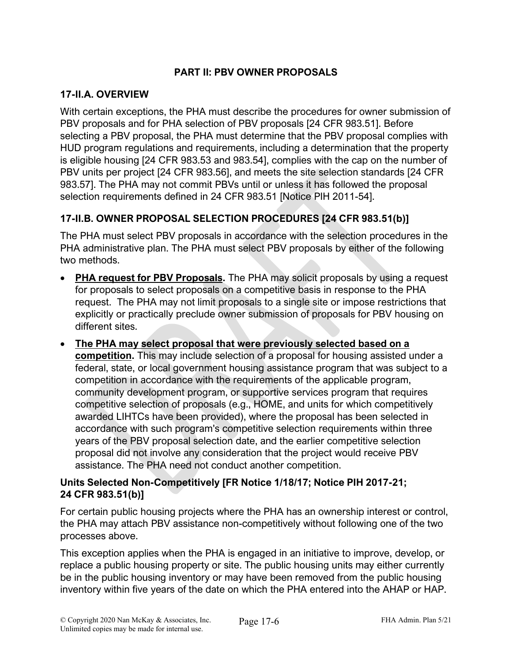### **PART II: PBV OWNER PROPOSALS**

### **17-II.A. OVERVIEW**

With certain exceptions, the PHA must describe the procedures for owner submission of PBV proposals and for PHA selection of PBV proposals [24 CFR 983.51]. Before selecting a PBV proposal, the PHA must determine that the PBV proposal complies with HUD program regulations and requirements, including a determination that the property is eligible housing [24 CFR 983.53 and 983.54], complies with the cap on the number of PBV units per project [24 CFR 983.56], and meets the site selection standards [24 CFR 983.57]. The PHA may not commit PBVs until or unless it has followed the proposal selection requirements defined in 24 CFR 983.51 [Notice PIH 2011-54].

### **17-II.B. OWNER PROPOSAL SELECTION PROCEDURES [24 CFR 983.51(b)]**

The PHA must select PBV proposals in accordance with the selection procedures in the PHA administrative plan. The PHA must select PBV proposals by either of the following two methods.

- **PHA request for PBV Proposals.** The PHA may solicit proposals by using a request for proposals to select proposals on a competitive basis in response to the PHA request. The PHA may not limit proposals to a single site or impose restrictions that explicitly or practically preclude owner submission of proposals for PBV housing on different sites.
- **The PHA may select proposal that were previously selected based on a competition.** This may include selection of a proposal for housing assisted under a federal, state, or local government housing assistance program that was subject to a competition in accordance with the requirements of the applicable program, community development program, or supportive services program that requires competitive selection of proposals (e.g., HOME, and units for which competitively awarded LIHTCs have been provided), where the proposal has been selected in accordance with such program's competitive selection requirements within three years of the PBV proposal selection date, and the earlier competitive selection proposal did not involve any consideration that the project would receive PBV assistance. The PHA need not conduct another competition.

### **Units Selected Non-Competitively [FR Notice 1/18/17; Notice PIH 2017-21; 24 CFR 983.51(b)]**

For certain public housing projects where the PHA has an ownership interest or control, the PHA may attach PBV assistance non-competitively without following one of the two processes above.

This exception applies when the PHA is engaged in an initiative to improve, develop, or replace a public housing property or site. The public housing units may either currently be in the public housing inventory or may have been removed from the public housing inventory within five years of the date on which the PHA entered into the AHAP or HAP.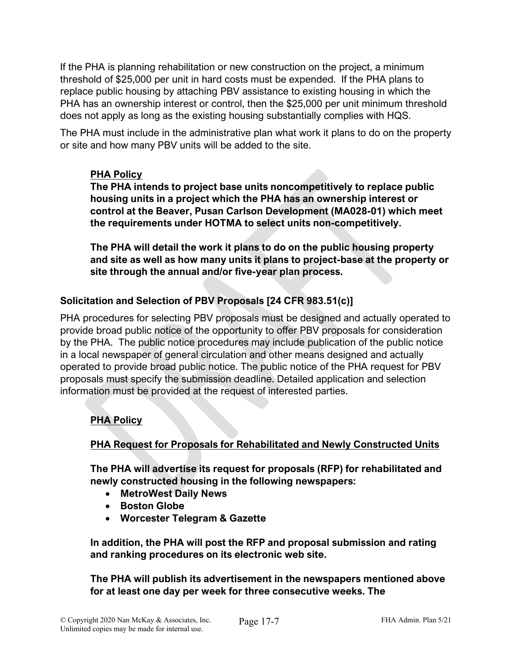If the PHA is planning rehabilitation or new construction on the project, a minimum threshold of \$25,000 per unit in hard costs must be expended. If the PHA plans to replace public housing by attaching PBV assistance to existing housing in which the PHA has an ownership interest or control, then the \$25,000 per unit minimum threshold does not apply as long as the existing housing substantially complies with HQS.

The PHA must include in the administrative plan what work it plans to do on the property or site and how many PBV units will be added to the site.

### **PHA Policy**

**The PHA intends to project base units noncompetitively to replace public housing units in a project which the PHA has an ownership interest or control at the Beaver, Pusan Carlson Development (MA028-01) which meet the requirements under HOTMA to select units non-competitively.**

**The PHA will detail the work it plans to do on the public housing property and site as well as how many units it plans to project-base at the property or site through the annual and/or five-year plan process.** 

### **Solicitation and Selection of PBV Proposals [24 CFR 983.51(c)]**

PHA procedures for selecting PBV proposals must be designed and actually operated to provide broad public notice of the opportunity to offer PBV proposals for consideration by the PHA. The public notice procedures may include publication of the public notice in a local newspaper of general circulation and other means designed and actually operated to provide broad public notice. The public notice of the PHA request for PBV proposals must specify the submission deadline. Detailed application and selection information must be provided at the request of interested parties.

### **PHA Policy**

### **PHA Request for Proposals for Rehabilitated and Newly Constructed Units**

**The PHA will advertise its request for proposals (RFP) for rehabilitated and newly constructed housing in the following newspapers:** 

- **MetroWest Daily News**
- **Boston Globe**
- **Worcester Telegram & Gazette**

**In addition, the PHA will post the RFP and proposal submission and rating and ranking procedures on its electronic web site.**

**The PHA will publish its advertisement in the newspapers mentioned above for at least one day per week for three consecutive weeks. The**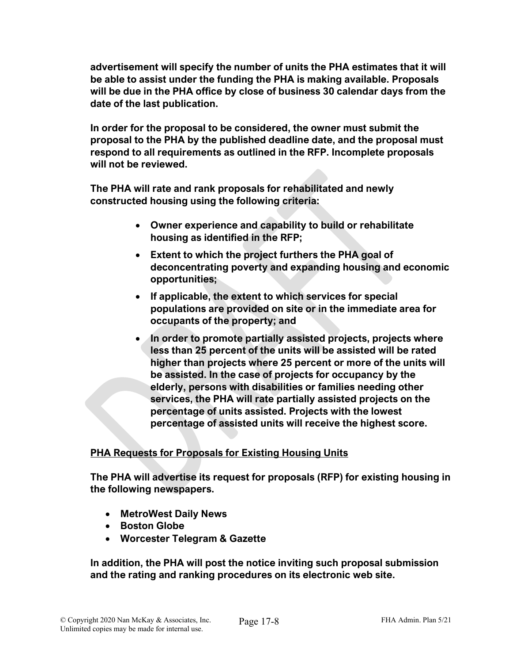**advertisement will specify the number of units the PHA estimates that it will be able to assist under the funding the PHA is making available. Proposals will be due in the PHA office by close of business 30 calendar days from the date of the last publication.**

**In order for the proposal to be considered, the owner must submit the proposal to the PHA by the published deadline date, and the proposal must respond to all requirements as outlined in the RFP. Incomplete proposals will not be reviewed.** 

**The PHA will rate and rank proposals for rehabilitated and newly constructed housing using the following criteria:**

- **Owner experience and capability to build or rehabilitate housing as identified in the RFP;**
- **Extent to which the project furthers the PHA goal of deconcentrating poverty and expanding housing and economic opportunities;**
- **If applicable, the extent to which services for special populations are provided on site or in the immediate area for occupants of the property; and**
- **In order to promote partially assisted projects, projects where less than 25 percent of the units will be assisted will be rated higher than projects where 25 percent or more of the units will be assisted. In the case of projects for occupancy by the elderly, persons with disabilities or families needing other services, the PHA will rate partially assisted projects on the percentage of units assisted. Projects with the lowest percentage of assisted units will receive the highest score.**

# **PHA Requests for Proposals for Existing Housing Units**

**The PHA will advertise its request for proposals (RFP) for existing housing in the following newspapers.**

- **MetroWest Daily News**
- **Boston Globe**
- **Worcester Telegram & Gazette**

**In addition, the PHA will post the notice inviting such proposal submission and the rating and ranking procedures on its electronic web site.**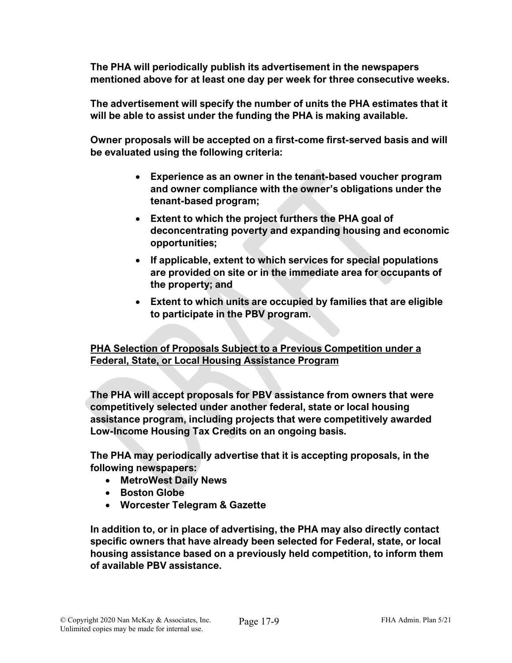**The PHA will periodically publish its advertisement in the newspapers mentioned above for at least one day per week for three consecutive weeks.** 

**The advertisement will specify the number of units the PHA estimates that it will be able to assist under the funding the PHA is making available.**

**Owner proposals will be accepted on a first-come first-served basis and will be evaluated using the following criteria:** 

- **Experience as an owner in the tenant-based voucher program and owner compliance with the owner's obligations under the tenant-based program;**
- **Extent to which the project furthers the PHA goal of deconcentrating poverty and expanding housing and economic opportunities;**
- **If applicable, extent to which services for special populations are provided on site or in the immediate area for occupants of the property; and**
- **Extent to which units are occupied by families that are eligible to participate in the PBV program.**

**PHA Selection of Proposals Subject to a Previous Competition under a Federal, State, or Local Housing Assistance Program**

**The PHA will accept proposals for PBV assistance from owners that were competitively selected under another federal, state or local housing assistance program, including projects that were competitively awarded Low-Income Housing Tax Credits on an ongoing basis.**

**The PHA may periodically advertise that it is accepting proposals, in the following newspapers:**

- **MetroWest Daily News**
- **Boston Globe**
- **Worcester Telegram & Gazette**

**In addition to, or in place of advertising, the PHA may also directly contact specific owners that have already been selected for Federal, state, or local housing assistance based on a previously held competition, to inform them of available PBV assistance.**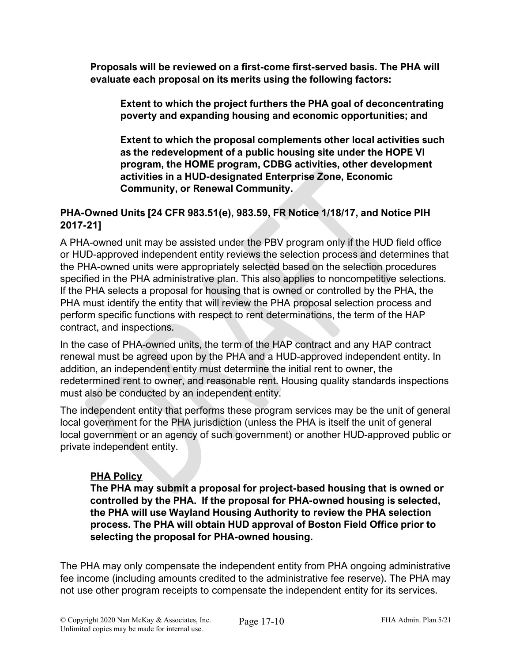**Proposals will be reviewed on a first-come first-served basis. The PHA will evaluate each proposal on its merits using the following factors:**

**Extent to which the project furthers the PHA goal of deconcentrating poverty and expanding housing and economic opportunities; and**

**Extent to which the proposal complements other local activities such as the redevelopment of a public housing site under the HOPE VI program, the HOME program, CDBG activities, other development activities in a HUD-designated Enterprise Zone, Economic Community, or Renewal Community.**

### **PHA-Owned Units [24 CFR 983.51(e), 983.59, FR Notice 1/18/17, and Notice PIH 2017-21]**

A PHA-owned unit may be assisted under the PBV program only if the HUD field office or HUD-approved independent entity reviews the selection process and determines that the PHA-owned units were appropriately selected based on the selection procedures specified in the PHA administrative plan. This also applies to noncompetitive selections. If the PHA selects a proposal for housing that is owned or controlled by the PHA, the PHA must identify the entity that will review the PHA proposal selection process and perform specific functions with respect to rent determinations, the term of the HAP contract, and inspections.

In the case of PHA-owned units, the term of the HAP contract and any HAP contract renewal must be agreed upon by the PHA and a HUD-approved independent entity. In addition, an independent entity must determine the initial rent to owner, the redetermined rent to owner, and reasonable rent. Housing quality standards inspections must also be conducted by an independent entity.

The independent entity that performs these program services may be the unit of general local government for the PHA jurisdiction (unless the PHA is itself the unit of general local government or an agency of such government) or another HUD-approved public or private independent entity.

### **PHA Policy**

**The PHA may submit a proposal for project-based housing that is owned or controlled by the PHA. If the proposal for PHA-owned housing is selected, the PHA will use Wayland Housing Authority to review the PHA selection process. The PHA will obtain HUD approval of Boston Field Office prior to selecting the proposal for PHA-owned housing.**

The PHA may only compensate the independent entity from PHA ongoing administrative fee income (including amounts credited to the administrative fee reserve). The PHA may not use other program receipts to compensate the independent entity for its services.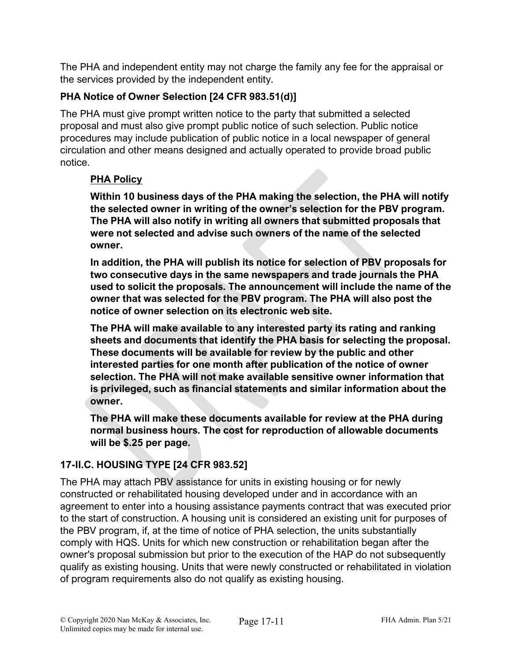The PHA and independent entity may not charge the family any fee for the appraisal or the services provided by the independent entity.

# **PHA Notice of Owner Selection [24 CFR 983.51(d)]**

The PHA must give prompt written notice to the party that submitted a selected proposal and must also give prompt public notice of such selection. Public notice procedures may include publication of public notice in a local newspaper of general circulation and other means designed and actually operated to provide broad public notice.

### **PHA Policy**

**Within 10 business days of the PHA making the selection, the PHA will notify the selected owner in writing of the owner's selection for the PBV program. The PHA will also notify in writing all owners that submitted proposals that were not selected and advise such owners of the name of the selected owner.**

**In addition, the PHA will publish its notice for selection of PBV proposals for two consecutive days in the same newspapers and trade journals the PHA used to solicit the proposals. The announcement will include the name of the owner that was selected for the PBV program. The PHA will also post the notice of owner selection on its electronic web site.**

**The PHA will make available to any interested party its rating and ranking sheets and documents that identify the PHA basis for selecting the proposal. These documents will be available for review by the public and other interested parties for one month after publication of the notice of owner selection. The PHA will not make available sensitive owner information that is privileged, such as financial statements and similar information about the owner.**

**The PHA will make these documents available for review at the PHA during normal business hours. The cost for reproduction of allowable documents will be \$.25 per page.**

# **17-II.C. HOUSING TYPE [24 CFR 983.52]**

The PHA may attach PBV assistance for units in existing housing or for newly constructed or rehabilitated housing developed under and in accordance with an agreement to enter into a housing assistance payments contract that was executed prior to the start of construction. A housing unit is considered an existing unit for purposes of the PBV program, if, at the time of notice of PHA selection, the units substantially comply with HQS. Units for which new construction or rehabilitation began after the owner's proposal submission but prior to the execution of the HAP do not subsequently qualify as existing housing. Units that were newly constructed or rehabilitated in violation of program requirements also do not qualify as existing housing.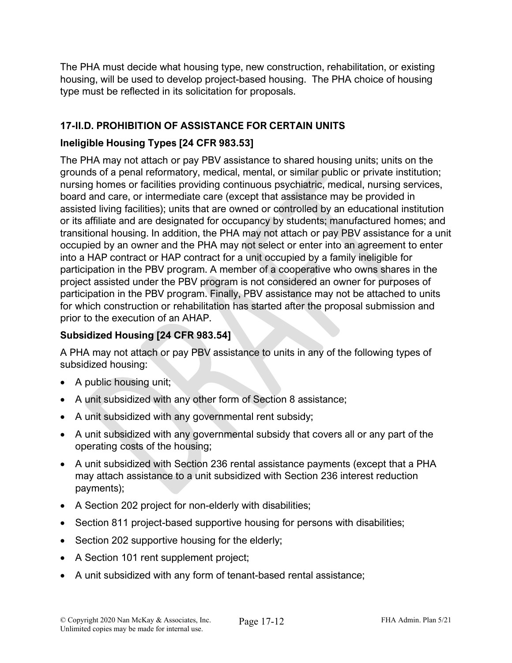The PHA must decide what housing type, new construction, rehabilitation, or existing housing, will be used to develop project-based housing. The PHA choice of housing type must be reflected in its solicitation for proposals.

# **17-II.D. PROHIBITION OF ASSISTANCE FOR CERTAIN UNITS**

# **Ineligible Housing Types [24 CFR 983.53]**

The PHA may not attach or pay PBV assistance to shared housing units; units on the grounds of a penal reformatory, medical, mental, or similar public or private institution; nursing homes or facilities providing continuous psychiatric, medical, nursing services, board and care, or intermediate care (except that assistance may be provided in assisted living facilities); units that are owned or controlled by an educational institution or its affiliate and are designated for occupancy by students; manufactured homes; and transitional housing. In addition, the PHA may not attach or pay PBV assistance for a unit occupied by an owner and the PHA may not select or enter into an agreement to enter into a HAP contract or HAP contract for a unit occupied by a family ineligible for participation in the PBV program. A member of a cooperative who owns shares in the project assisted under the PBV program is not considered an owner for purposes of participation in the PBV program. Finally, PBV assistance may not be attached to units for which construction or rehabilitation has started after the proposal submission and prior to the execution of an AHAP.

# **Subsidized Housing [24 CFR 983.54]**

A PHA may not attach or pay PBV assistance to units in any of the following types of subsidized housing:

- A public housing unit;
- A unit subsidized with any other form of Section 8 assistance;
- A unit subsidized with any governmental rent subsidy;
- A unit subsidized with any governmental subsidy that covers all or any part of the operating costs of the housing;
- A unit subsidized with Section 236 rental assistance payments (except that a PHA may attach assistance to a unit subsidized with Section 236 interest reduction payments);
- A Section 202 project for non-elderly with disabilities;
- Section 811 project-based supportive housing for persons with disabilities;
- Section 202 supportive housing for the elderly;
- A Section 101 rent supplement project;
- A unit subsidized with any form of tenant-based rental assistance;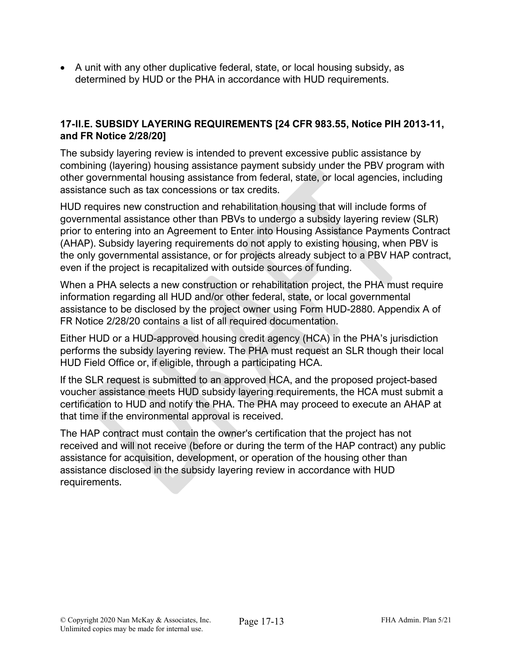• A unit with any other duplicative federal, state, or local housing subsidy, as determined by HUD or the PHA in accordance with HUD requirements.

### **17-II.E. SUBSIDY LAYERING REQUIREMENTS [24 CFR 983.55, Notice PIH 2013-11, and FR Notice 2/28/20]**

The subsidy layering review is intended to prevent excessive public assistance by combining (layering) housing assistance payment subsidy under the PBV program with other governmental housing assistance from federal, state, or local agencies, including assistance such as tax concessions or tax credits.

HUD requires new construction and rehabilitation housing that will include forms of governmental assistance other than PBVs to undergo a subsidy layering review (SLR) prior to entering into an Agreement to Enter into Housing Assistance Payments Contract (AHAP). Subsidy layering requirements do not apply to existing housing, when PBV is the only governmental assistance, or for projects already subject to a PBV HAP contract, even if the project is recapitalized with outside sources of funding.

When a PHA selects a new construction or rehabilitation project, the PHA must require information regarding all HUD and/or other federal, state, or local governmental assistance to be disclosed by the project owner using Form HUD-2880. Appendix A of FR Notice 2/28/20 contains a list of all required documentation.

Either HUD or a HUD-approved housing credit agency (HCA) in the PHA's jurisdiction performs the subsidy layering review. The PHA must request an SLR though their local HUD Field Office or, if eligible, through a participating HCA.

If the SLR request is submitted to an approved HCA, and the proposed project-based voucher assistance meets HUD subsidy layering requirements, the HCA must submit a certification to HUD and notify the PHA. The PHA may proceed to execute an AHAP at that time if the environmental approval is received.

The HAP contract must contain the owner's certification that the project has not received and will not receive (before or during the term of the HAP contract) any public assistance for acquisition, development, or operation of the housing other than assistance disclosed in the subsidy layering review in accordance with HUD requirements.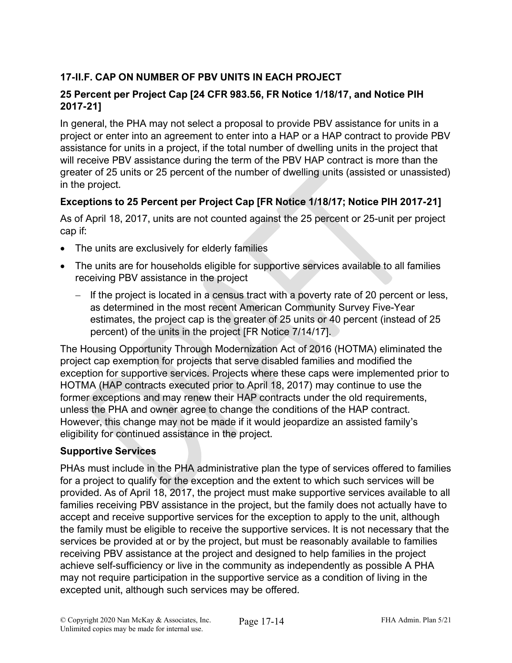# **17-II.F. CAP ON NUMBER OF PBV UNITS IN EACH PROJECT**

### **25 Percent per Project Cap [24 CFR 983.56, FR Notice 1/18/17, and Notice PIH 2017-21]**

In general, the PHA may not select a proposal to provide PBV assistance for units in a project or enter into an agreement to enter into a HAP or a HAP contract to provide PBV assistance for units in a project, if the total number of dwelling units in the project that will receive PBV assistance during the term of the PBV HAP contract is more than the greater of 25 units or 25 percent of the number of dwelling units (assisted or unassisted) in the project.

# **Exceptions to 25 Percent per Project Cap [FR Notice 1/18/17; Notice PIH 2017-21]**

As of April 18, 2017, units are not counted against the 25 percent or 25-unit per project cap if:

- The units are exclusively for elderly families
- The units are for households eligible for supportive services available to all families receiving PBV assistance in the project
	- − If the project is located in a census tract with a poverty rate of 20 percent or less, as determined in the most recent American Community Survey Five-Year estimates, the project cap is the greater of 25 units or 40 percent (instead of 25 percent) of the units in the project [FR Notice 7/14/17].

The Housing Opportunity Through Modernization Act of 2016 (HOTMA) eliminated the project cap exemption for projects that serve disabled families and modified the exception for supportive services. Projects where these caps were implemented prior to HOTMA (HAP contracts executed prior to April 18, 2017) may continue to use the former exceptions and may renew their HAP contracts under the old requirements, unless the PHA and owner agree to change the conditions of the HAP contract. However, this change may not be made if it would jeopardize an assisted family's eligibility for continued assistance in the project.

### **Supportive Services**

PHAs must include in the PHA administrative plan the type of services offered to families for a project to qualify for the exception and the extent to which such services will be provided. As of April 18, 2017, the project must make supportive services available to all families receiving PBV assistance in the project, but the family does not actually have to accept and receive supportive services for the exception to apply to the unit, although the family must be eligible to receive the supportive services. It is not necessary that the services be provided at or by the project, but must be reasonably available to families receiving PBV assistance at the project and designed to help families in the project achieve self-sufficiency or live in the community as independently as possible A PHA may not require participation in the supportive service as a condition of living in the excepted unit, although such services may be offered.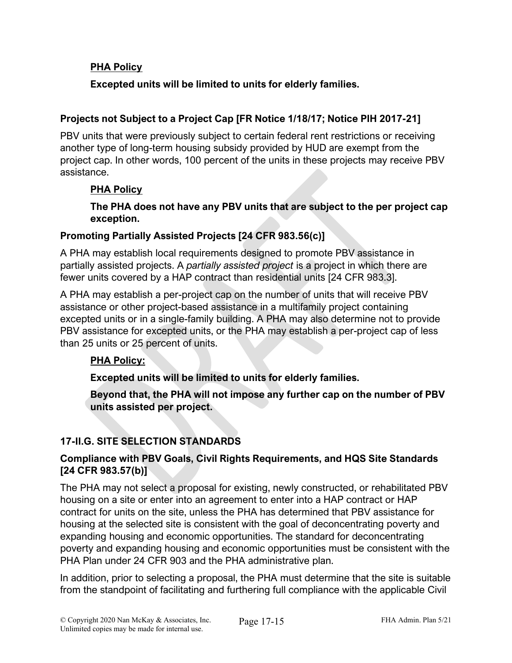### **PHA Policy**

### **Excepted units will be limited to units for elderly families.**

### **Projects not Subject to a Project Cap [FR Notice 1/18/17; Notice PIH 2017-21]**

PBV units that were previously subject to certain federal rent restrictions or receiving another type of long-term housing subsidy provided by HUD are exempt from the project cap. In other words, 100 percent of the units in these projects may receive PBV assistance.

### **PHA Policy**

**The PHA does not have any PBV units that are subject to the per project cap exception.**

#### **Promoting Partially Assisted Projects [24 CFR 983.56(c)]**

A PHA may establish local requirements designed to promote PBV assistance in partially assisted projects. A *partially assisted project* is a project in which there are fewer units covered by a HAP contract than residential units [24 CFR 983.3].

A PHA may establish a per-project cap on the number of units that will receive PBV assistance or other project-based assistance in a multifamily project containing excepted units or in a single-family building. A PHA may also determine not to provide PBV assistance for excepted units, or the PHA may establish a per-project cap of less than 25 units or 25 percent of units.

#### **PHA Policy:**

**Excepted units will be limited to units for elderly families.**

**Beyond that, the PHA will not impose any further cap on the number of PBV units assisted per project.**

### **17-II.G. SITE SELECTION STANDARDS**

#### **Compliance with PBV Goals, Civil Rights Requirements, and HQS Site Standards [24 CFR 983.57(b)]**

The PHA may not select a proposal for existing, newly constructed, or rehabilitated PBV housing on a site or enter into an agreement to enter into a HAP contract or HAP contract for units on the site, unless the PHA has determined that PBV assistance for housing at the selected site is consistent with the goal of deconcentrating poverty and expanding housing and economic opportunities. The standard for deconcentrating poverty and expanding housing and economic opportunities must be consistent with the PHA Plan under 24 CFR 903 and the PHA administrative plan.

In addition, prior to selecting a proposal, the PHA must determine that the site is suitable from the standpoint of facilitating and furthering full compliance with the applicable Civil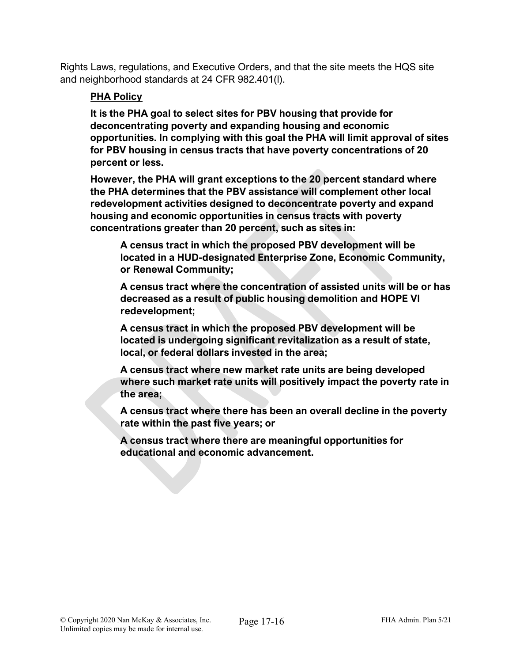Rights Laws, regulations, and Executive Orders, and that the site meets the HQS site and neighborhood standards at 24 CFR 982.401(l).

### **PHA Policy**

**It is the PHA goal to select sites for PBV housing that provide for deconcentrating poverty and expanding housing and economic opportunities. In complying with this goal the PHA will limit approval of sites for PBV housing in census tracts that have poverty concentrations of 20 percent or less.** 

**However, the PHA will grant exceptions to the 20 percent standard where the PHA determines that the PBV assistance will complement other local redevelopment activities designed to deconcentrate poverty and expand housing and economic opportunities in census tracts with poverty concentrations greater than 20 percent, such as sites in:**

**A census tract in which the proposed PBV development will be located in a HUD-designated Enterprise Zone, Economic Community, or Renewal Community;**

**A census tract where the concentration of assisted units will be or has decreased as a result of public housing demolition and HOPE VI redevelopment;**

**A census tract in which the proposed PBV development will be located is undergoing significant revitalization as a result of state, local, or federal dollars invested in the area;** 

**A census tract where new market rate units are being developed where such market rate units will positively impact the poverty rate in the area;**

**A census tract where there has been an overall decline in the poverty rate within the past five years; or**

**A census tract where there are meaningful opportunities for educational and economic advancement.**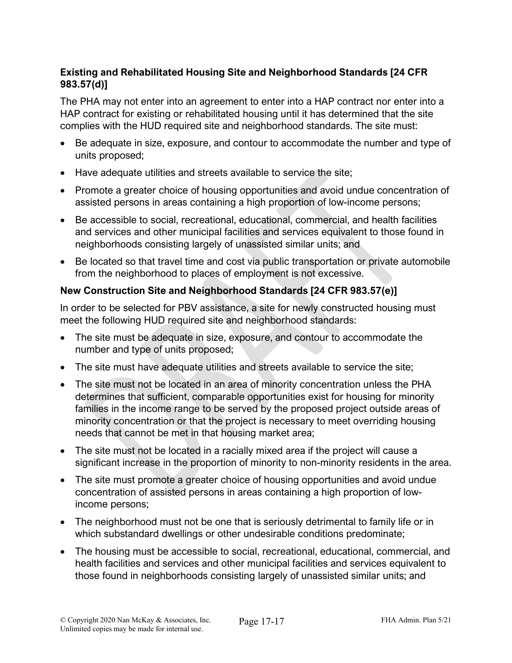### **Existing and Rehabilitated Housing Site and Neighborhood Standards [24 CFR 983.57(d)]**

The PHA may not enter into an agreement to enter into a HAP contract nor enter into a HAP contract for existing or rehabilitated housing until it has determined that the site complies with the HUD required site and neighborhood standards. The site must:

- Be adequate in size, exposure, and contour to accommodate the number and type of units proposed;
- Have adequate utilities and streets available to service the site;
- Promote a greater choice of housing opportunities and avoid undue concentration of assisted persons in areas containing a high proportion of low-income persons;
- Be accessible to social, recreational, educational, commercial, and health facilities and services and other municipal facilities and services equivalent to those found in neighborhoods consisting largely of unassisted similar units; and
- Be located so that travel time and cost via public transportation or private automobile from the neighborhood to places of employment is not excessive.

### **New Construction Site and Neighborhood Standards [24 CFR 983.57(e)]**

In order to be selected for PBV assistance, a site for newly constructed housing must meet the following HUD required site and neighborhood standards:

- The site must be adequate in size, exposure, and contour to accommodate the number and type of units proposed;
- The site must have adequate utilities and streets available to service the site;
- The site must not be located in an area of minority concentration unless the PHA determines that sufficient, comparable opportunities exist for housing for minority families in the income range to be served by the proposed project outside areas of minority concentration or that the project is necessary to meet overriding housing needs that cannot be met in that housing market area;
- The site must not be located in a racially mixed area if the project will cause a significant increase in the proportion of minority to non-minority residents in the area.
- The site must promote a greater choice of housing opportunities and avoid undue concentration of assisted persons in areas containing a high proportion of lowincome persons;
- The neighborhood must not be one that is seriously detrimental to family life or in which substandard dwellings or other undesirable conditions predominate;
- The housing must be accessible to social, recreational, educational, commercial, and health facilities and services and other municipal facilities and services equivalent to those found in neighborhoods consisting largely of unassisted similar units; and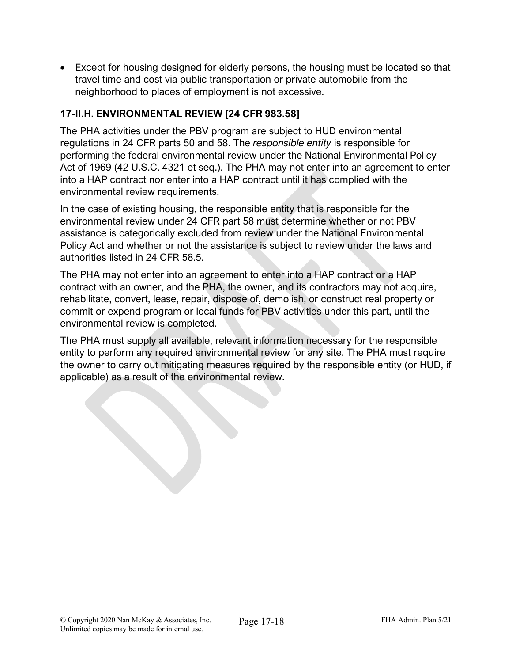• Except for housing designed for elderly persons, the housing must be located so that travel time and cost via public transportation or private automobile from the neighborhood to places of employment is not excessive.

### **17-II.H. ENVIRONMENTAL REVIEW [24 CFR 983.58]**

The PHA activities under the PBV program are subject to HUD environmental regulations in 24 CFR parts 50 and 58. The *responsible entity* is responsible for performing the federal environmental review under the National Environmental Policy Act of 1969 (42 U.S.C. 4321 et seq.). The PHA may not enter into an agreement to enter into a HAP contract nor enter into a HAP contract until it has complied with the environmental review requirements.

In the case of existing housing, the responsible entity that is responsible for the environmental review under 24 CFR part 58 must determine whether or not PBV assistance is categorically excluded from review under the National Environmental Policy Act and whether or not the assistance is subject to review under the laws and authorities listed in 24 CFR 58.5.

The PHA may not enter into an agreement to enter into a HAP contract or a HAP contract with an owner, and the PHA, the owner, and its contractors may not acquire, rehabilitate, convert, lease, repair, dispose of, demolish, or construct real property or commit or expend program or local funds for PBV activities under this part, until the environmental review is completed.

The PHA must supply all available, relevant information necessary for the responsible entity to perform any required environmental review for any site. The PHA must require the owner to carry out mitigating measures required by the responsible entity (or HUD, if applicable) as a result of the environmental review.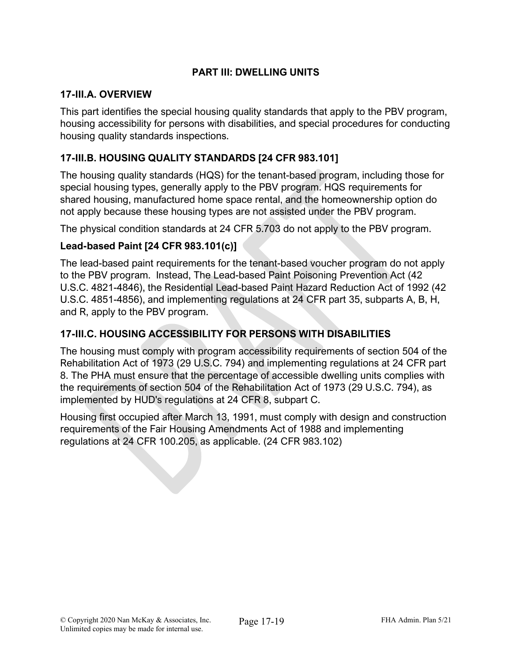### **PART III: DWELLING UNITS**

#### **17-III.A. OVERVIEW**

This part identifies the special housing quality standards that apply to the PBV program, housing accessibility for persons with disabilities, and special procedures for conducting housing quality standards inspections.

#### **17-III.B. HOUSING QUALITY STANDARDS [24 CFR 983.101]**

The housing quality standards (HQS) for the tenant-based program, including those for special housing types, generally apply to the PBV program. HQS requirements for shared housing, manufactured home space rental, and the homeownership option do not apply because these housing types are not assisted under the PBV program.

The physical condition standards at 24 CFR 5.703 do not apply to the PBV program.

#### **Lead-based Paint [24 CFR 983.101(c)]**

The lead-based paint requirements for the tenant-based voucher program do not apply to the PBV program. Instead, The Lead-based Paint Poisoning Prevention Act (42 U.S.C. 4821-4846), the Residential Lead-based Paint Hazard Reduction Act of 1992 (42 U.S.C. 4851-4856), and implementing regulations at 24 CFR part 35, subparts A, B, H, and R, apply to the PBV program.

### **17-III.C. HOUSING ACCESSIBILITY FOR PERSONS WITH DISABILITIES**

The housing must comply with program accessibility requirements of section 504 of the Rehabilitation Act of 1973 (29 U.S.C. 794) and implementing regulations at 24 CFR part 8. The PHA must ensure that the percentage of accessible dwelling units complies with the requirements of section 504 of the Rehabilitation Act of 1973 (29 U.S.C. 794), as implemented by HUD's regulations at 24 CFR 8, subpart C.

Housing first occupied after March 13, 1991, must comply with design and construction requirements of the Fair Housing Amendments Act of 1988 and implementing regulations at 24 CFR 100.205, as applicable. (24 CFR 983.102)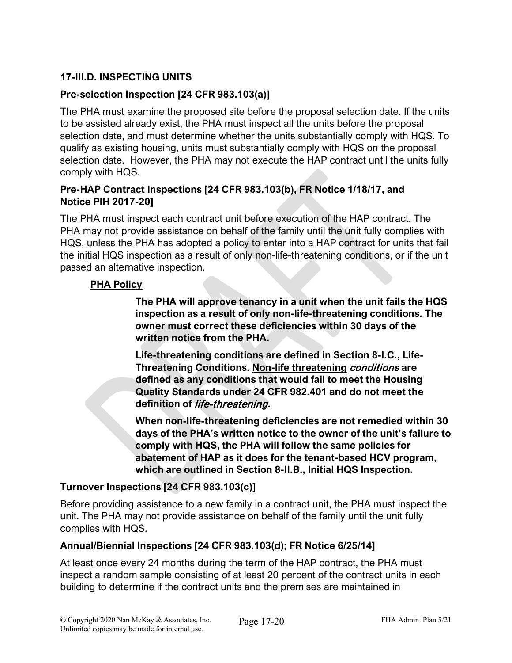### **17-III.D. INSPECTING UNITS**

### **Pre-selection Inspection [24 CFR 983.103(a)]**

The PHA must examine the proposed site before the proposal selection date. If the units to be assisted already exist, the PHA must inspect all the units before the proposal selection date, and must determine whether the units substantially comply with HQS. To qualify as existing housing, units must substantially comply with HQS on the proposal selection date. However, the PHA may not execute the HAP contract until the units fully comply with HQS.

### **Pre-HAP Contract Inspections [24 CFR 983.103(b), FR Notice 1/18/17, and Notice PIH 2017-20]**

The PHA must inspect each contract unit before execution of the HAP contract. The PHA may not provide assistance on behalf of the family until the unit fully complies with HQS, unless the PHA has adopted a policy to enter into a HAP contract for units that fail the initial HQS inspection as a result of only non-life-threatening conditions, or if the unit passed an alternative inspection.

### **PHA Policy**

**The PHA will approve tenancy in a unit when the unit fails the HQS inspection as a result of only non-life-threatening conditions. The owner must correct these deficiencies within 30 days of the written notice from the PHA.** 

**Life-threatening conditions are defined in Section 8-I.C., Life-Threatening Conditions. Non-life threatening** conditions **are defined as any conditions that would fail to meet the Housing Quality Standards under 24 CFR 982.401 and do not meet the definition of** life-threatening**.**

**When non-life-threatening deficiencies are not remedied within 30 days of the PHA's written notice to the owner of the unit's failure to comply with HQS, the PHA will follow the same policies for abatement of HAP as it does for the tenant-based HCV program, which are outlined in Section 8-II.B., Initial HQS Inspection.**

### **Turnover Inspections [24 CFR 983.103(c)]**

Before providing assistance to a new family in a contract unit, the PHA must inspect the unit. The PHA may not provide assistance on behalf of the family until the unit fully complies with HQS.

### **Annual/Biennial Inspections [24 CFR 983.103(d); FR Notice 6/25/14]**

At least once every 24 months during the term of the HAP contract, the PHA must inspect a random sample consisting of at least 20 percent of the contract units in each building to determine if the contract units and the premises are maintained in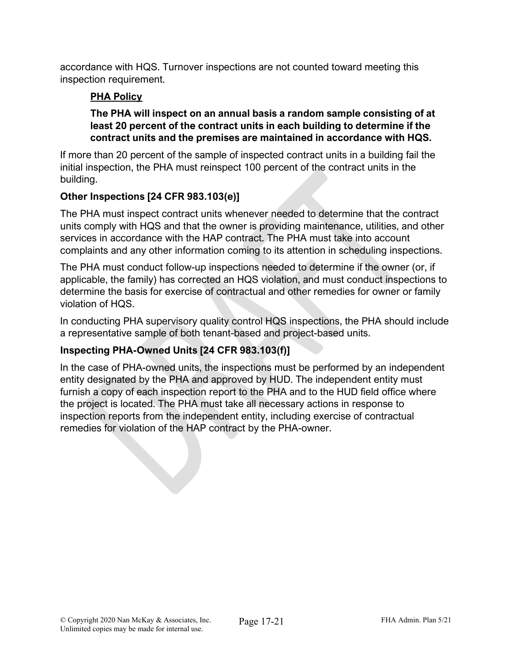accordance with HQS. Turnover inspections are not counted toward meeting this inspection requirement.

# **PHA Policy**

#### **The PHA will inspect on an annual basis a random sample consisting of at least 20 percent of the contract units in each building to determine if the contract units and the premises are maintained in accordance with HQS.**

If more than 20 percent of the sample of inspected contract units in a building fail the initial inspection, the PHA must reinspect 100 percent of the contract units in the building.

# **Other Inspections [24 CFR 983.103(e)]**

The PHA must inspect contract units whenever needed to determine that the contract units comply with HQS and that the owner is providing maintenance, utilities, and other services in accordance with the HAP contract. The PHA must take into account complaints and any other information coming to its attention in scheduling inspections.

The PHA must conduct follow-up inspections needed to determine if the owner (or, if applicable, the family) has corrected an HQS violation, and must conduct inspections to determine the basis for exercise of contractual and other remedies for owner or family violation of HQS.

In conducting PHA supervisory quality control HQS inspections, the PHA should include a representative sample of both tenant-based and project-based units.

# **Inspecting PHA-Owned Units [24 CFR 983.103(f)]**

In the case of PHA-owned units, the inspections must be performed by an independent entity designated by the PHA and approved by HUD. The independent entity must furnish a copy of each inspection report to the PHA and to the HUD field office where the project is located. The PHA must take all necessary actions in response to inspection reports from the independent entity, including exercise of contractual remedies for violation of the HAP contract by the PHA-owner.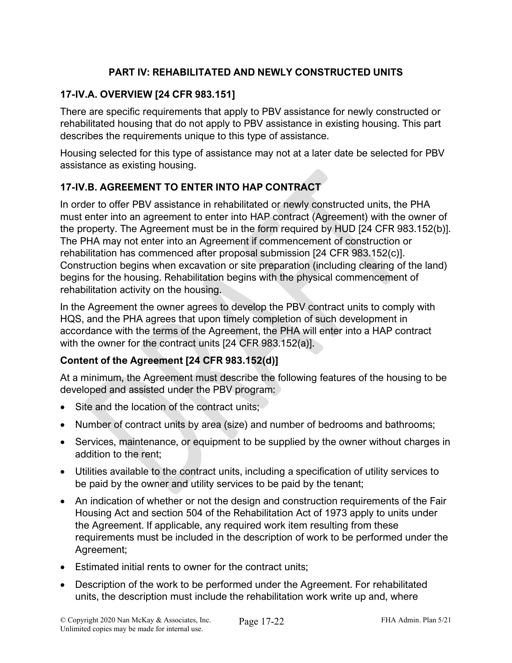# **PART IV: REHABILITATED AND NEWLY CONSTRUCTED UNITS**

### **17-IV.A. OVERVIEW [24 CFR 983.151]**

There are specific requirements that apply to PBV assistance for newly constructed or rehabilitated housing that do not apply to PBV assistance in existing housing. This part describes the requirements unique to this type of assistance.

Housing selected for this type of assistance may not at a later date be selected for PBV assistance as existing housing.

### **17-IV.B. AGREEMENT TO ENTER INTO HAP CONTRACT**

In order to offer PBV assistance in rehabilitated or newly constructed units, the PHA must enter into an agreement to enter into HAP contract (Agreement) with the owner of the property. The Agreement must be in the form required by HUD [24 CFR 983.152(b)]. The PHA may not enter into an Agreement if commencement of construction or rehabilitation has commenced after proposal submission [24 CFR 983.152(c)]. Construction begins when excavation or site preparation (including clearing of the land) begins for the housing. Rehabilitation begins with the physical commencement of rehabilitation activity on the housing.

In the Agreement the owner agrees to develop the PBV contract units to comply with HQS, and the PHA agrees that upon timely completion of such development in accordance with the terms of the Agreement, the PHA will enter into a HAP contract with the owner for the contract units [24 CFR 983.152(a)].

### **Content of the Agreement [24 CFR 983.152(d)]**

At a minimum, the Agreement must describe the following features of the housing to be developed and assisted under the PBV program:

- Site and the location of the contract units;
- Number of contract units by area (size) and number of bedrooms and bathrooms;
- Services, maintenance, or equipment to be supplied by the owner without charges in addition to the rent;
- Utilities available to the contract units, including a specification of utility services to be paid by the owner and utility services to be paid by the tenant;
- An indication of whether or not the design and construction requirements of the Fair Housing Act and section 504 of the Rehabilitation Act of 1973 apply to units under the Agreement. If applicable, any required work item resulting from these requirements must be included in the description of work to be performed under the Agreement;
- Estimated initial rents to owner for the contract units;
- Description of the work to be performed under the Agreement. For rehabilitated units, the description must include the rehabilitation work write up and, where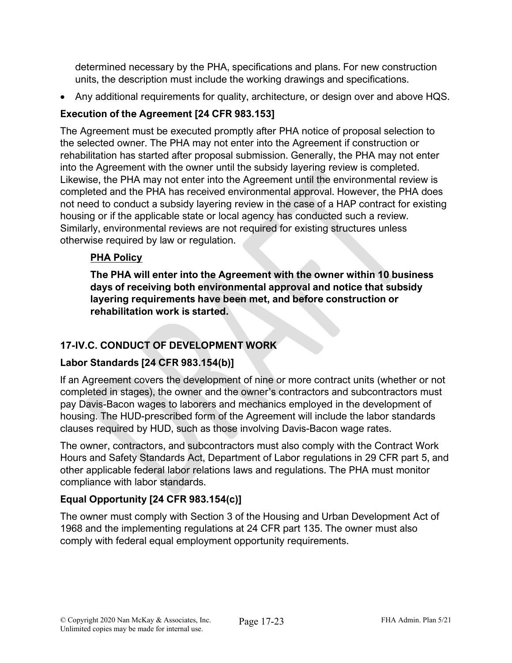determined necessary by the PHA, specifications and plans. For new construction units, the description must include the working drawings and specifications.

• Any additional requirements for quality, architecture, or design over and above HQS.

# **Execution of the Agreement [24 CFR 983.153]**

The Agreement must be executed promptly after PHA notice of proposal selection to the selected owner. The PHA may not enter into the Agreement if construction or rehabilitation has started after proposal submission. Generally, the PHA may not enter into the Agreement with the owner until the subsidy layering review is completed. Likewise, the PHA may not enter into the Agreement until the environmental review is completed and the PHA has received environmental approval. However, the PHA does not need to conduct a subsidy layering review in the case of a HAP contract for existing housing or if the applicable state or local agency has conducted such a review. Similarly, environmental reviews are not required for existing structures unless otherwise required by law or regulation.

### **PHA Policy**

**The PHA will enter into the Agreement with the owner within 10 business days of receiving both environmental approval and notice that subsidy layering requirements have been met, and before construction or rehabilitation work is started.**

# **17-IV.C. CONDUCT OF DEVELOPMENT WORK**

# **Labor Standards [24 CFR 983.154(b)]**

If an Agreement covers the development of nine or more contract units (whether or not completed in stages), the owner and the owner's contractors and subcontractors must pay Davis-Bacon wages to laborers and mechanics employed in the development of housing. The HUD-prescribed form of the Agreement will include the labor standards clauses required by HUD, such as those involving Davis-Bacon wage rates.

The owner, contractors, and subcontractors must also comply with the Contract Work Hours and Safety Standards Act, Department of Labor regulations in 29 CFR part 5, and other applicable federal labor relations laws and regulations. The PHA must monitor compliance with labor standards.

# **Equal Opportunity [24 CFR 983.154(c)]**

The owner must comply with Section 3 of the Housing and Urban Development Act of 1968 and the implementing regulations at 24 CFR part 135. The owner must also comply with federal equal employment opportunity requirements.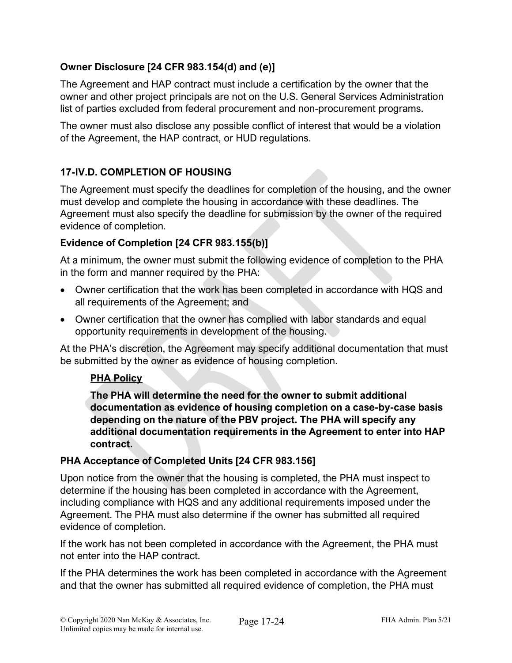# **Owner Disclosure [24 CFR 983.154(d) and (e)]**

The Agreement and HAP contract must include a certification by the owner that the owner and other project principals are not on the U.S. General Services Administration list of parties excluded from federal procurement and non-procurement programs.

The owner must also disclose any possible conflict of interest that would be a violation of the Agreement, the HAP contract, or HUD regulations.

# **17-IV.D. COMPLETION OF HOUSING**

The Agreement must specify the deadlines for completion of the housing, and the owner must develop and complete the housing in accordance with these deadlines. The Agreement must also specify the deadline for submission by the owner of the required evidence of completion.

# **Evidence of Completion [24 CFR 983.155(b)]**

At a minimum, the owner must submit the following evidence of completion to the PHA in the form and manner required by the PHA:

- Owner certification that the work has been completed in accordance with HQS and all requirements of the Agreement; and
- Owner certification that the owner has complied with labor standards and equal opportunity requirements in development of the housing.

At the PHA's discretion, the Agreement may specify additional documentation that must be submitted by the owner as evidence of housing completion.

### **PHA Policy**

**The PHA will determine the need for the owner to submit additional documentation as evidence of housing completion on a case-by-case basis depending on the nature of the PBV project. The PHA will specify any additional documentation requirements in the Agreement to enter into HAP contract.**

### **PHA Acceptance of Completed Units [24 CFR 983.156]**

Upon notice from the owner that the housing is completed, the PHA must inspect to determine if the housing has been completed in accordance with the Agreement, including compliance with HQS and any additional requirements imposed under the Agreement. The PHA must also determine if the owner has submitted all required evidence of completion.

If the work has not been completed in accordance with the Agreement, the PHA must not enter into the HAP contract.

If the PHA determines the work has been completed in accordance with the Agreement and that the owner has submitted all required evidence of completion, the PHA must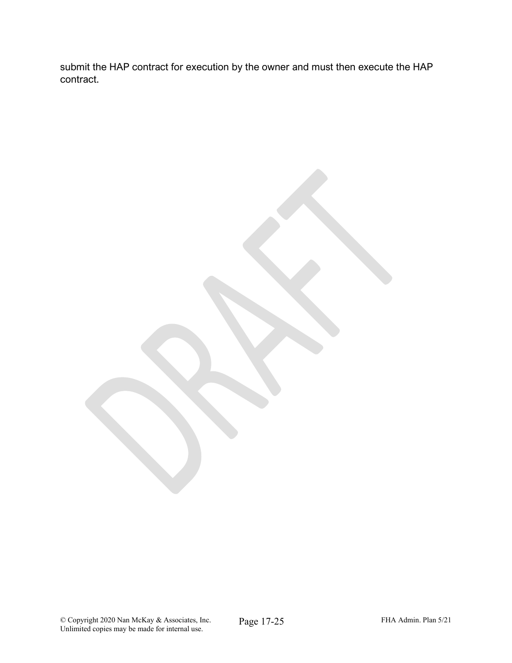submit the HAP contract for execution by the owner and must then execute the HAP contract.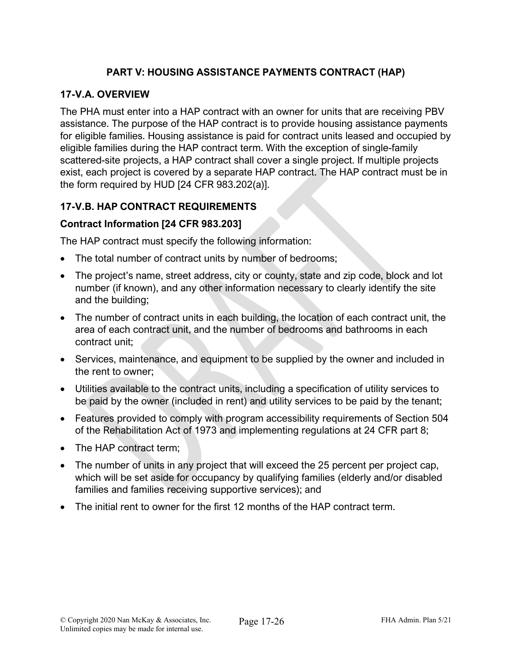### **PART V: HOUSING ASSISTANCE PAYMENTS CONTRACT (HAP)**

### **17-V.A. OVERVIEW**

The PHA must enter into a HAP contract with an owner for units that are receiving PBV assistance. The purpose of the HAP contract is to provide housing assistance payments for eligible families. Housing assistance is paid for contract units leased and occupied by eligible families during the HAP contract term. With the exception of single-family scattered-site projects, a HAP contract shall cover a single project. If multiple projects exist, each project is covered by a separate HAP contract. The HAP contract must be in the form required by HUD [24 CFR 983.202(a)].

### **17-V.B. HAP CONTRACT REQUIREMENTS**

#### **Contract Information [24 CFR 983.203]**

The HAP contract must specify the following information:

- The total number of contract units by number of bedrooms;
- The project's name, street address, city or county, state and zip code, block and lot number (if known), and any other information necessary to clearly identify the site and the building;
- The number of contract units in each building, the location of each contract unit, the area of each contract unit, and the number of bedrooms and bathrooms in each contract unit;
- Services, maintenance, and equipment to be supplied by the owner and included in the rent to owner;
- Utilities available to the contract units, including a specification of utility services to be paid by the owner (included in rent) and utility services to be paid by the tenant;
- Features provided to comply with program accessibility requirements of Section 504 of the Rehabilitation Act of 1973 and implementing regulations at 24 CFR part 8;
- The HAP contract term:
- The number of units in any project that will exceed the 25 percent per project cap, which will be set aside for occupancy by qualifying families (elderly and/or disabled families and families receiving supportive services); and
- The initial rent to owner for the first 12 months of the HAP contract term.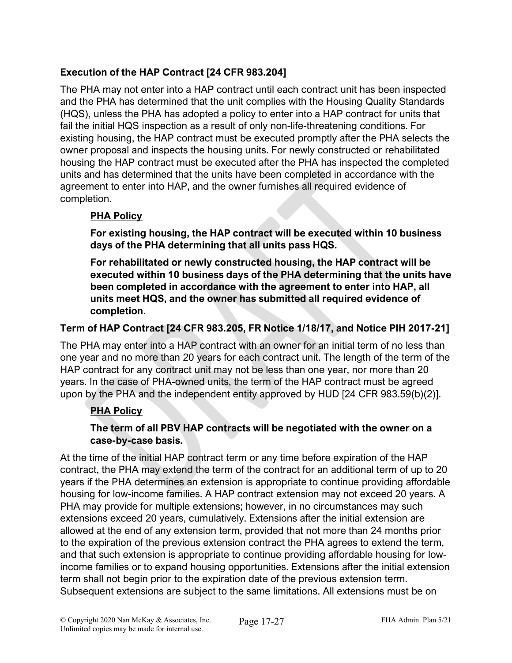## **Execution of the HAP Contract [24 CFR 983.204]**

The PHA may not enter into a HAP contract until each contract unit has been inspected and the PHA has determined that the unit complies with the Housing Quality Standards (HQS), unless the PHA has adopted a policy to enter into a HAP contract for units that fail the initial HQS inspection as a result of only non-life-threatening conditions. For existing housing, the HAP contract must be executed promptly after the PHA selects the owner proposal and inspects the housing units. For newly constructed or rehabilitated housing the HAP contract must be executed after the PHA has inspected the completed units and has determined that the units have been completed in accordance with the agreement to enter into HAP, and the owner furnishes all required evidence of completion.

### **PHA Policy**

**For existing housing, the HAP contract will be executed within 10 business days of the PHA determining that all units pass HQS.**

**For rehabilitated or newly constructed housing, the HAP contract will be executed within 10 business days of the PHA determining that the units have been completed in accordance with the agreement to enter into HAP, all units meet HQS, and the owner has submitted all required evidence of completion**.

### **Term of HAP Contract [24 CFR 983.205, FR Notice 1/18/17, and Notice PIH 2017-21]**

The PHA may enter into a HAP contract with an owner for an initial term of no less than one year and no more than 20 years for each contract unit. The length of the term of the HAP contract for any contract unit may not be less than one year, nor more than 20 years. In the case of PHA-owned units, the term of the HAP contract must be agreed upon by the PHA and the independent entity approved by HUD [24 CFR 983.59(b)(2)].

# **PHA Policy**

### **The term of all PBV HAP contracts will be negotiated with the owner on a case-by-case basis.**

At the time of the initial HAP contract term or any time before expiration of the HAP contract, the PHA may extend the term of the contract for an additional term of up to 20 years if the PHA determines an extension is appropriate to continue providing affordable housing for low-income families. A HAP contract extension may not exceed 20 years. A PHA may provide for multiple extensions; however, in no circumstances may such extensions exceed 20 years, cumulatively. Extensions after the initial extension are allowed at the end of any extension term, provided that not more than 24 months prior to the expiration of the previous extension contract the PHA agrees to extend the term, and that such extension is appropriate to continue providing affordable housing for lowincome families or to expand housing opportunities. Extensions after the initial extension term shall not begin prior to the expiration date of the previous extension term. Subsequent extensions are subject to the same limitations. All extensions must be on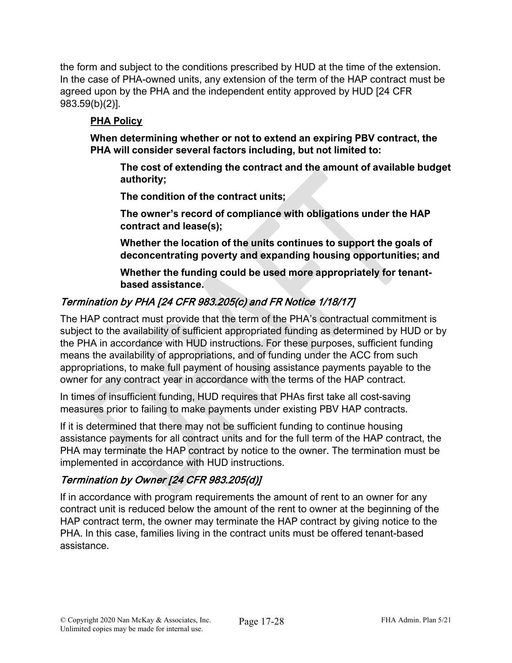the form and subject to the conditions prescribed by HUD at the time of the extension. In the case of PHA-owned units, any extension of the term of the HAP contract must be agreed upon by the PHA and the independent entity approved by HUD [24 CFR 983.59(b)(2)].

# **PHA Policy**

**When determining whether or not to extend an expiring PBV contract, the PHA will consider several factors including, but not limited to:**

**The cost of extending the contract and the amount of available budget authority;**

**The condition of the contract units;**

**The owner's record of compliance with obligations under the HAP contract and lease(s);**

**Whether the location of the units continues to support the goals of deconcentrating poverty and expanding housing opportunities; and**

**Whether the funding could be used more appropriately for tenantbased assistance.**

# Termination by PHA [24 CFR 983.205(c) and FR Notice 1/18/17]

The HAP contract must provide that the term of the PHA's contractual commitment is subject to the availability of sufficient appropriated funding as determined by HUD or by the PHA in accordance with HUD instructions. For these purposes, sufficient funding means the availability of appropriations, and of funding under the ACC from such appropriations, to make full payment of housing assistance payments payable to the owner for any contract year in accordance with the terms of the HAP contract.

In times of insufficient funding, HUD requires that PHAs first take all cost-saving measures prior to failing to make payments under existing PBV HAP contracts.

If it is determined that there may not be sufficient funding to continue housing assistance payments for all contract units and for the full term of the HAP contract, the PHA may terminate the HAP contract by notice to the owner. The termination must be implemented in accordance with HUD instructions.

# Termination by Owner [24 CFR 983.205(d)]

If in accordance with program requirements the amount of rent to an owner for any contract unit is reduced below the amount of the rent to owner at the beginning of the HAP contract term, the owner may terminate the HAP contract by giving notice to the PHA. In this case, families living in the contract units must be offered tenant-based assistance.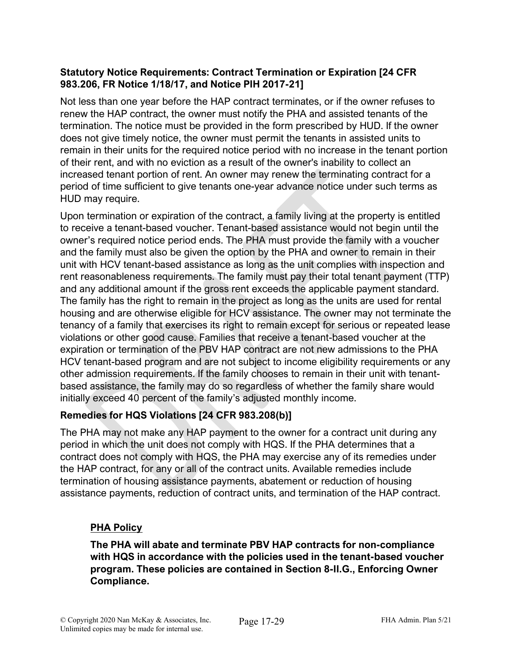### **Statutory Notice Requirements: Contract Termination or Expiration [24 CFR 983.206, FR Notice 1/18/17, and Notice PIH 2017-21]**

Not less than one year before the HAP contract terminates, or if the owner refuses to renew the HAP contract, the owner must notify the PHA and assisted tenants of the termination. The notice must be provided in the form prescribed by HUD. If the owner does not give timely notice, the owner must permit the tenants in assisted units to remain in their units for the required notice period with no increase in the tenant portion of their rent, and with no eviction as a result of the owner's inability to collect an increased tenant portion of rent. An owner may renew the terminating contract for a period of time sufficient to give tenants one-year advance notice under such terms as HUD may require.

Upon termination or expiration of the contract, a family living at the property is entitled to receive a tenant-based voucher. Tenant-based assistance would not begin until the owner's required notice period ends. The PHA must provide the family with a voucher and the family must also be given the option by the PHA and owner to remain in their unit with HCV tenant-based assistance as long as the unit complies with inspection and rent reasonableness requirements. The family must pay their total tenant payment (TTP) and any additional amount if the gross rent exceeds the applicable payment standard. The family has the right to remain in the project as long as the units are used for rental housing and are otherwise eligible for HCV assistance. The owner may not terminate the tenancy of a family that exercises its right to remain except for serious or repeated lease violations or other good cause. Families that receive a tenant-based voucher at the expiration or termination of the PBV HAP contract are not new admissions to the PHA HCV tenant-based program and are not subject to income eligibility requirements or any other admission requirements. If the family chooses to remain in their unit with tenantbased assistance, the family may do so regardless of whether the family share would initially exceed 40 percent of the family's adjusted monthly income.

# **Remedies for HQS Violations [24 CFR 983.208(b)]**

The PHA may not make any HAP payment to the owner for a contract unit during any period in which the unit does not comply with HQS. If the PHA determines that a contract does not comply with HQS, the PHA may exercise any of its remedies under the HAP contract, for any or all of the contract units. Available remedies include termination of housing assistance payments, abatement or reduction of housing assistance payments, reduction of contract units, and termination of the HAP contract.

### **PHA Policy**

**The PHA will abate and terminate PBV HAP contracts for non-compliance with HQS in accordance with the policies used in the tenant-based voucher program. These policies are contained in Section 8-II.G., Enforcing Owner Compliance.**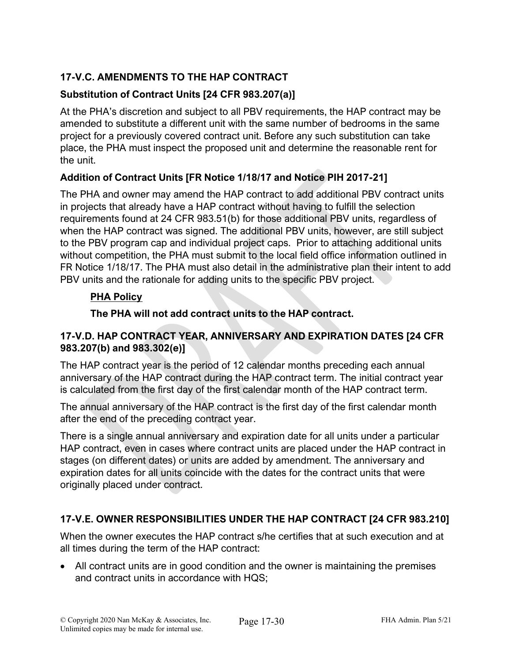# **17-V.C. AMENDMENTS TO THE HAP CONTRACT**

# **Substitution of Contract Units [24 CFR 983.207(a)]**

At the PHA's discretion and subject to all PBV requirements, the HAP contract may be amended to substitute a different unit with the same number of bedrooms in the same project for a previously covered contract unit. Before any such substitution can take place, the PHA must inspect the proposed unit and determine the reasonable rent for the unit.

# **Addition of Contract Units [FR Notice 1/18/17 and Notice PIH 2017-21]**

The PHA and owner may amend the HAP contract to add additional PBV contract units in projects that already have a HAP contract without having to fulfill the selection requirements found at 24 CFR 983.51(b) for those additional PBV units, regardless of when the HAP contract was signed. The additional PBV units, however, are still subject to the PBV program cap and individual project caps. Prior to attaching additional units without competition, the PHA must submit to the local field office information outlined in FR Notice 1/18/17. The PHA must also detail in the administrative plan their intent to add PBV units and the rationale for adding units to the specific PBV project.

# **PHA Policy**

# **The PHA will not add contract units to the HAP contract.**

### **17-V.D. HAP CONTRACT YEAR, ANNIVERSARY AND EXPIRATION DATES [24 CFR 983.207(b) and 983.302(e)]**

The HAP contract year is the period of 12 calendar months preceding each annual anniversary of the HAP contract during the HAP contract term. The initial contract year is calculated from the first day of the first calendar month of the HAP contract term.

The annual anniversary of the HAP contract is the first day of the first calendar month after the end of the preceding contract year.

There is a single annual anniversary and expiration date for all units under a particular HAP contract, even in cases where contract units are placed under the HAP contract in stages (on different dates) or units are added by amendment. The anniversary and expiration dates for all units coincide with the dates for the contract units that were originally placed under contract.

# **17-V.E. OWNER RESPONSIBILITIES UNDER THE HAP CONTRACT [24 CFR 983.210]**

When the owner executes the HAP contract s/he certifies that at such execution and at all times during the term of the HAP contract:

• All contract units are in good condition and the owner is maintaining the premises and contract units in accordance with HQS;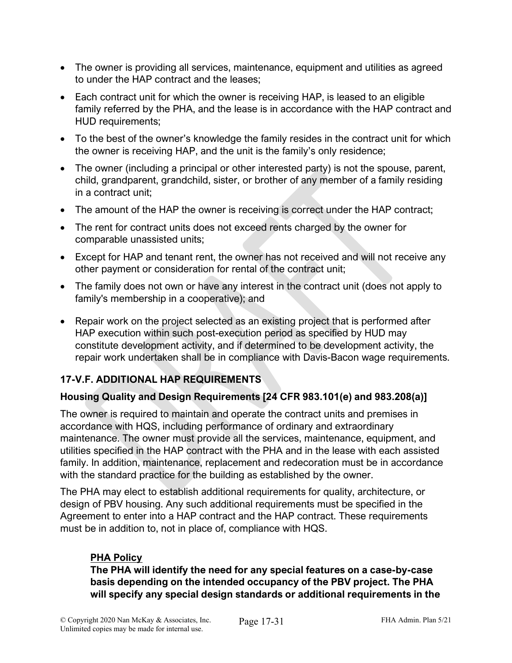- The owner is providing all services, maintenance, equipment and utilities as agreed to under the HAP contract and the leases;
- Each contract unit for which the owner is receiving HAP, is leased to an eligible family referred by the PHA, and the lease is in accordance with the HAP contract and HUD requirements;
- To the best of the owner's knowledge the family resides in the contract unit for which the owner is receiving HAP, and the unit is the family's only residence;
- The owner (including a principal or other interested party) is not the spouse, parent, child, grandparent, grandchild, sister, or brother of any member of a family residing in a contract unit;
- The amount of the HAP the owner is receiving is correct under the HAP contract;
- The rent for contract units does not exceed rents charged by the owner for comparable unassisted units;
- Except for HAP and tenant rent, the owner has not received and will not receive any other payment or consideration for rental of the contract unit;
- The family does not own or have any interest in the contract unit (does not apply to family's membership in a cooperative); and
- Repair work on the project selected as an existing project that is performed after HAP execution within such post-execution period as specified by HUD may constitute development activity, and if determined to be development activity, the repair work undertaken shall be in compliance with Davis-Bacon wage requirements.

# **17-V.F. ADDITIONAL HAP REQUIREMENTS**

# **Housing Quality and Design Requirements [24 CFR 983.101(e) and 983.208(a)]**

The owner is required to maintain and operate the contract units and premises in accordance with HQS, including performance of ordinary and extraordinary maintenance. The owner must provide all the services, maintenance, equipment, and utilities specified in the HAP contract with the PHA and in the lease with each assisted family. In addition, maintenance, replacement and redecoration must be in accordance with the standard practice for the building as established by the owner.

The PHA may elect to establish additional requirements for quality, architecture, or design of PBV housing. Any such additional requirements must be specified in the Agreement to enter into a HAP contract and the HAP contract. These requirements must be in addition to, not in place of, compliance with HQS.

# **PHA Policy**

**The PHA will identify the need for any special features on a case-by-case basis depending on the intended occupancy of the PBV project. The PHA will specify any special design standards or additional requirements in the**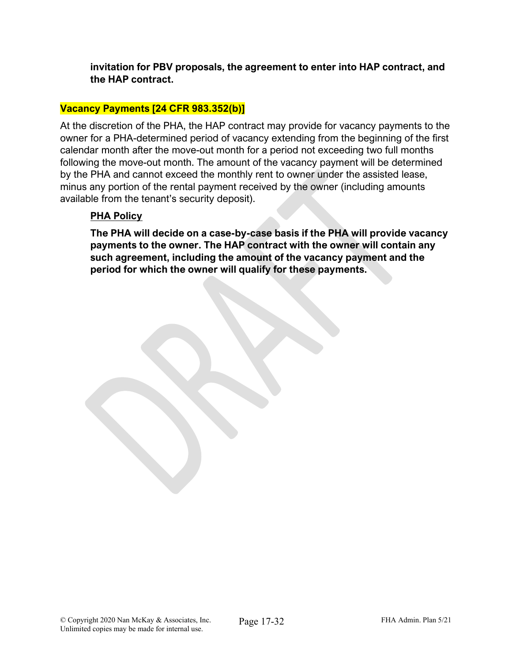**invitation for PBV proposals, the agreement to enter into HAP contract, and the HAP contract.**

#### **Vacancy Payments [24 CFR 983.352(b)]**

At the discretion of the PHA, the HAP contract may provide for vacancy payments to the owner for a PHA-determined period of vacancy extending from the beginning of the first calendar month after the move-out month for a period not exceeding two full months following the move-out month. The amount of the vacancy payment will be determined by the PHA and cannot exceed the monthly rent to owner under the assisted lease, minus any portion of the rental payment received by the owner (including amounts available from the tenant's security deposit).

#### **PHA Policy**

**The PHA will decide on a case-by-case basis if the PHA will provide vacancy payments to the owner. The HAP contract with the owner will contain any such agreement, including the amount of the vacancy payment and the period for which the owner will qualify for these payments.**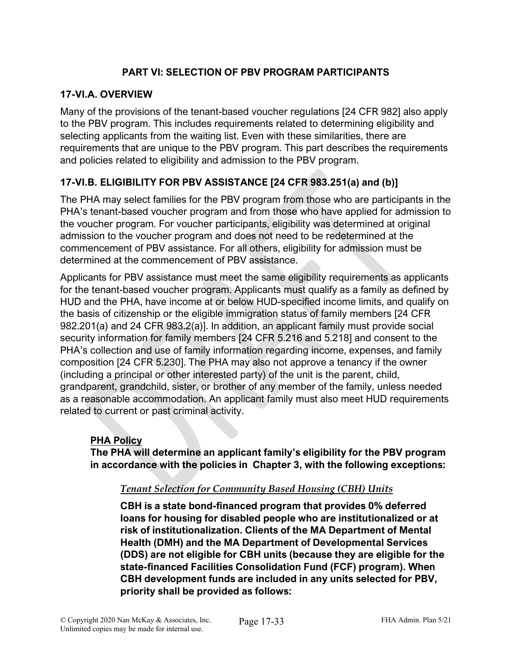### **PART VI: SELECTION OF PBV PROGRAM PARTICIPANTS**

#### **17-VI.A. OVERVIEW**

Many of the provisions of the tenant-based voucher regulations [24 CFR 982] also apply to the PBV program. This includes requirements related to determining eligibility and selecting applicants from the waiting list. Even with these similarities, there are requirements that are unique to the PBV program. This part describes the requirements and policies related to eligibility and admission to the PBV program.

### **17-VI.B. ELIGIBILITY FOR PBV ASSISTANCE [24 CFR 983.251(a) and (b)]**

The PHA may select families for the PBV program from those who are participants in the PHA's tenant-based voucher program and from those who have applied for admission to the voucher program. For voucher participants, eligibility was determined at original admission to the voucher program and does not need to be redetermined at the commencement of PBV assistance. For all others, eligibility for admission must be determined at the commencement of PBV assistance.

Applicants for PBV assistance must meet the same eligibility requirements as applicants for the tenant-based voucher program. Applicants must qualify as a family as defined by HUD and the PHA, have income at or below HUD-specified income limits, and qualify on the basis of citizenship or the eligible immigration status of family members [24 CFR 982.201(a) and 24 CFR 983.2(a)]. In addition, an applicant family must provide social security information for family members [24 CFR 5.216 and 5.218] and consent to the PHA's collection and use of family information regarding income, expenses, and family composition [24 CFR 5.230]. The PHA may also not approve a tenancy if the owner (including a principal or other interested party) of the unit is the parent, child, grandparent, grandchild, sister, or brother of any member of the family, unless needed as a reasonable accommodation. An applicant family must also meet HUD requirements related to current or past criminal activity.

### **PHA Policy**

**The PHA will determine an applicant family's eligibility for the PBV program in accordance with the policies in Chapter 3, with the following exceptions:**

#### *Tenant Selection for Community Based Housing (CBH) Units*

**CBH is a state bond-financed program that provides 0% deferred loans for housing for disabled people who are institutionalized or at risk of institutionalization. Clients of the MA Department of Mental Health (DMH) and the MA Department of Developmental Services (DDS) are not eligible for CBH units (because they are eligible for the state-financed Facilities Consolidation Fund (FCF) program). When CBH development funds are included in any units selected for PBV, priority shall be provided as follows:**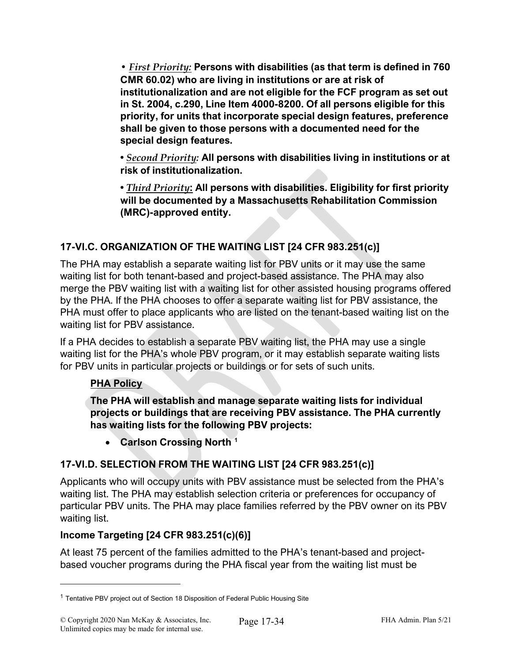*• First Priority:* **Persons with disabilities (as that term is defined in 760 CMR 60.02) who are living in institutions or are at risk of institutionalization and are not eligible for the FCF program as set out in St. 2004, c.290, Line Item 4000-8200. Of all persons eligible for this priority, for units that incorporate special design features, preference shall be given to those persons with a documented need for the special design features.** 

**•** *Second Priority:* **All persons with disabilities living in institutions or at risk of institutionalization.** 

**•** *Third Priority***: All persons with disabilities. Eligibility for first priority will be documented by a Massachusetts Rehabilitation Commission (MRC)-approved entity.**

# **17-VI.C. ORGANIZATION OF THE WAITING LIST [24 CFR 983.251(c)]**

The PHA may establish a separate waiting list for PBV units or it may use the same waiting list for both tenant-based and project-based assistance. The PHA may also merge the PBV waiting list with a waiting list for other assisted housing programs offered by the PHA. If the PHA chooses to offer a separate waiting list for PBV assistance, the PHA must offer to place applicants who are listed on the tenant-based waiting list on the waiting list for PBV assistance.

If a PHA decides to establish a separate PBV waiting list, the PHA may use a single waiting list for the PHA's whole PBV program, or it may establish separate waiting lists for PBV units in particular projects or buildings or for sets of such units.

# **PHA Policy**

**The PHA will establish and manage separate waiting lists for individual projects or buildings that are receiving PBV assistance. The PHA currently has waiting lists for the following PBV projects:**

• **Carlson Crossing North [1](#page-33-0)**

# **17-VI.D. SELECTION FROM THE WAITING LIST [24 CFR 983.251(c)]**

Applicants who will occupy units with PBV assistance must be selected from the PHA's waiting list. The PHA may establish selection criteria or preferences for occupancy of particular PBV units. The PHA may place families referred by the PBV owner on its PBV waiting list.

# **Income Targeting [24 CFR 983.251(c)(6)]**

At least 75 percent of the families admitted to the PHA's tenant-based and projectbased voucher programs during the PHA fiscal year from the waiting list must be

<span id="page-33-0"></span><sup>&</sup>lt;sup>1</sup> Tentative PBV project out of Section 18 Disposition of Federal Public Housing Site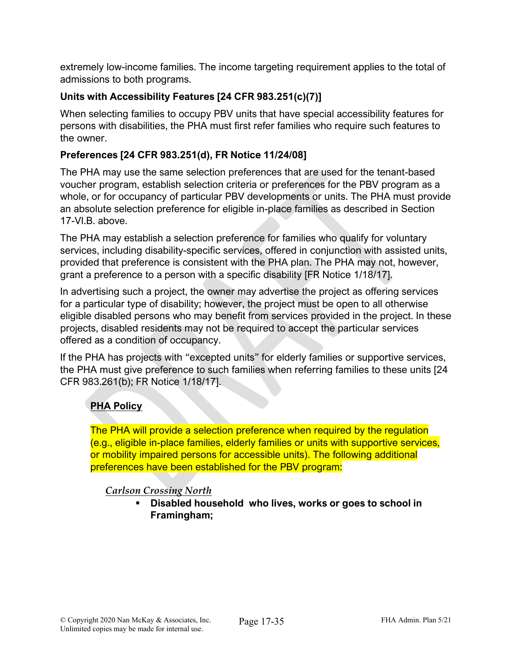extremely low-income families. The income targeting requirement applies to the total of admissions to both programs.

### **Units with Accessibility Features [24 CFR 983.251(c)(7)]**

When selecting families to occupy PBV units that have special accessibility features for persons with disabilities, the PHA must first refer families who require such features to the owner.

### **Preferences [24 CFR 983.251(d), FR Notice 11/24/08]**

The PHA may use the same selection preferences that are used for the tenant-based voucher program, establish selection criteria or preferences for the PBV program as a whole, or for occupancy of particular PBV developments or units. The PHA must provide an absolute selection preference for eligible in-place families as described in Section 17-VI.B. above.

The PHA may establish a selection preference for families who qualify for voluntary services, including disability-specific services, offered in conjunction with assisted units, provided that preference is consistent with the PHA plan. The PHA may not, however, grant a preference to a person with a specific disability [FR Notice 1/18/17].

In advertising such a project, the owner may advertise the project as offering services for a particular type of disability; however, the project must be open to all otherwise eligible disabled persons who may benefit from services provided in the project. In these projects, disabled residents may not be required to accept the particular services offered as a condition of occupancy.

If the PHA has projects with "excepted units" for elderly families or supportive services, the PHA must give preference to such families when referring families to these units [24 CFR 983.261(b); FR Notice 1/18/17].

# **PHA Policy**

The PHA will provide a selection preference when required by the regulation (e.g., eligible in-place families, elderly families or units with supportive services, or mobility impaired persons for accessible units). The following additional preferences have been established for the PBV program:

#### *Carlson Crossing North*

 **Disabled household who lives, works or goes to school in Framingham;**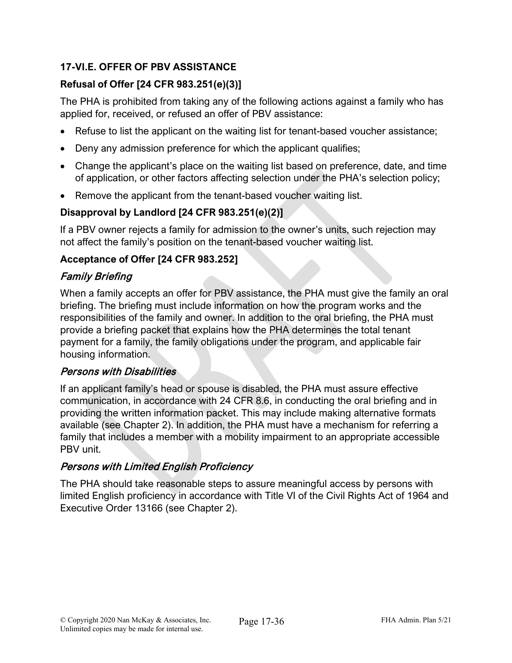# **17-VI.E. OFFER OF PBV ASSISTANCE**

# **Refusal of Offer [24 CFR 983.251(e)(3)]**

The PHA is prohibited from taking any of the following actions against a family who has applied for, received, or refused an offer of PBV assistance:

- Refuse to list the applicant on the waiting list for tenant-based voucher assistance;
- Deny any admission preference for which the applicant qualifies;
- Change the applicant's place on the waiting list based on preference, date, and time of application, or other factors affecting selection under the PHA's selection policy;
- Remove the applicant from the tenant-based voucher waiting list.

# **Disapproval by Landlord [24 CFR 983.251(e)(2)]**

If a PBV owner rejects a family for admission to the owner's units, such rejection may not affect the family's position on the tenant-based voucher waiting list.

### **Acceptance of Offer [24 CFR 983.252]**

# Family Briefing

When a family accepts an offer for PBV assistance, the PHA must give the family an oral briefing. The briefing must include information on how the program works and the responsibilities of the family and owner. In addition to the oral briefing, the PHA must provide a briefing packet that explains how the PHA determines the total tenant payment for a family, the family obligations under the program, and applicable fair housing information.

### Persons with Disabilities

If an applicant family's head or spouse is disabled, the PHA must assure effective communication, in accordance with 24 CFR 8.6, in conducting the oral briefing and in providing the written information packet. This may include making alternative formats available (see Chapter 2). In addition, the PHA must have a mechanism for referring a family that includes a member with a mobility impairment to an appropriate accessible PBV unit.

# Persons with Limited English Proficiency

The PHA should take reasonable steps to assure meaningful access by persons with limited English proficiency in accordance with Title VI of the Civil Rights Act of 1964 and Executive Order 13166 (see Chapter 2).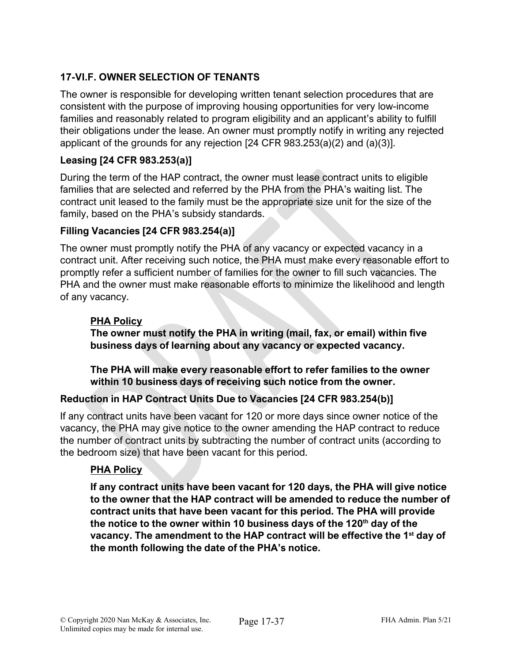# **17-VI.F. OWNER SELECTION OF TENANTS**

The owner is responsible for developing written tenant selection procedures that are consistent with the purpose of improving housing opportunities for very low-income families and reasonably related to program eligibility and an applicant's ability to fulfill their obligations under the lease. An owner must promptly notify in writing any rejected applicant of the grounds for any rejection [24 CFR 983.253(a)(2) and (a)(3)].

### **Leasing [24 CFR 983.253(a)]**

During the term of the HAP contract, the owner must lease contract units to eligible families that are selected and referred by the PHA from the PHA's waiting list. The contract unit leased to the family must be the appropriate size unit for the size of the family, based on the PHA's subsidy standards.

### **Filling Vacancies [24 CFR 983.254(a)]**

The owner must promptly notify the PHA of any vacancy or expected vacancy in a contract unit. After receiving such notice, the PHA must make every reasonable effort to promptly refer a sufficient number of families for the owner to fill such vacancies. The PHA and the owner must make reasonable efforts to minimize the likelihood and length of any vacancy.

### **PHA Policy**

**The owner must notify the PHA in writing (mail, fax, or email) within five business days of learning about any vacancy or expected vacancy.** 

**The PHA will make every reasonable effort to refer families to the owner within 10 business days of receiving such notice from the owner.**

# **Reduction in HAP Contract Units Due to Vacancies [24 CFR 983.254(b)]**

If any contract units have been vacant for 120 or more days since owner notice of the vacancy, the PHA may give notice to the owner amending the HAP contract to reduce the number of contract units by subtracting the number of contract units (according to the bedroom size) that have been vacant for this period.

# **PHA Policy**

**If any contract units have been vacant for 120 days, the PHA will give notice to the owner that the HAP contract will be amended to reduce the number of contract units that have been vacant for this period. The PHA will provide the notice to the owner within 10 business days of the 120th day of the vacancy. The amendment to the HAP contract will be effective the 1st day of the month following the date of the PHA's notice.**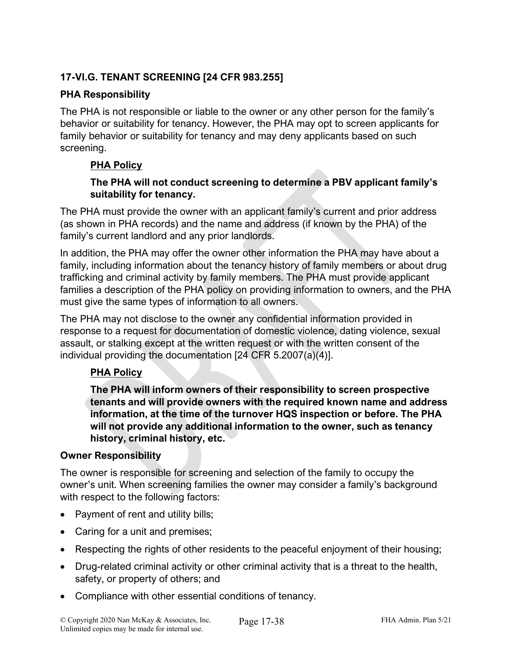## **17-VI.G. TENANT SCREENING [24 CFR 983.255]**

### **PHA Responsibility**

The PHA is not responsible or liable to the owner or any other person for the family's behavior or suitability for tenancy. However, the PHA may opt to screen applicants for family behavior or suitability for tenancy and may deny applicants based on such screening.

### **PHA Policy**

#### **The PHA will not conduct screening to determine a PBV applicant family's suitability for tenancy.**

The PHA must provide the owner with an applicant family's current and prior address (as shown in PHA records) and the name and address (if known by the PHA) of the family's current landlord and any prior landlords.

In addition, the PHA may offer the owner other information the PHA may have about a family, including information about the tenancy history of family members or about drug trafficking and criminal activity by family members. The PHA must provide applicant families a description of the PHA policy on providing information to owners, and the PHA must give the same types of information to all owners.

The PHA may not disclose to the owner any confidential information provided in response to a request for documentation of domestic violence, dating violence, sexual assault, or stalking except at the written request or with the written consent of the individual providing the documentation [24 CFR 5.2007(a)(4)].

### **PHA Policy**

**The PHA will inform owners of their responsibility to screen prospective tenants and will provide owners with the required known name and address information, at the time of the turnover HQS inspection or before. The PHA will not provide any additional information to the owner, such as tenancy history, criminal history, etc.**

### **Owner Responsibility**

The owner is responsible for screening and selection of the family to occupy the owner's unit. When screening families the owner may consider a family's background with respect to the following factors:

- Payment of rent and utility bills;
- Caring for a unit and premises;
- Respecting the rights of other residents to the peaceful enjoyment of their housing;
- Drug-related criminal activity or other criminal activity that is a threat to the health, safety, or property of others; and
- Compliance with other essential conditions of tenancy.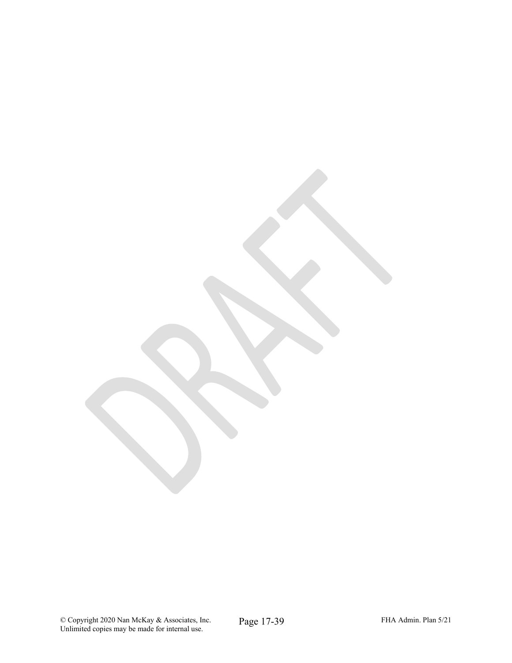© Copyright 2020 Nan McKay & Associates, Inc.  $P_{AOP}$  17-39 FHA Admin. Plan 5/21 Unlimited copies may be made for internal use.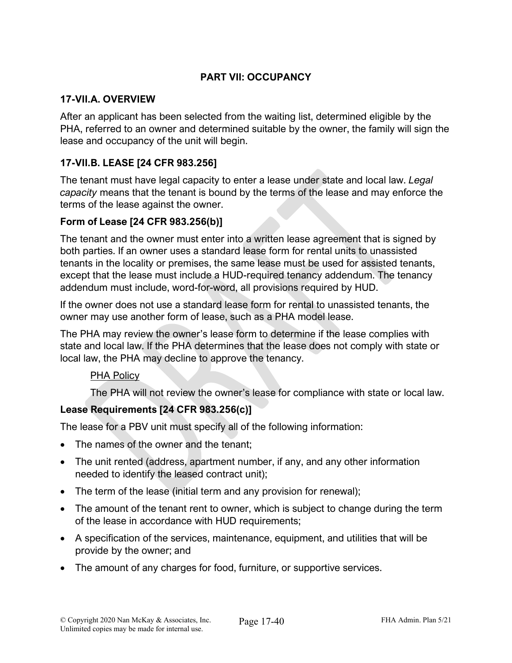### **PART VII: OCCUPANCY**

#### **17-VII.A. OVERVIEW**

After an applicant has been selected from the waiting list, determined eligible by the PHA, referred to an owner and determined suitable by the owner, the family will sign the lease and occupancy of the unit will begin.

#### **17-VII.B. LEASE [24 CFR 983.256]**

The tenant must have legal capacity to enter a lease under state and local law. *Legal capacity* means that the tenant is bound by the terms of the lease and may enforce the terms of the lease against the owner.

#### **Form of Lease [24 CFR 983.256(b)]**

The tenant and the owner must enter into a written lease agreement that is signed by both parties. If an owner uses a standard lease form for rental units to unassisted tenants in the locality or premises, the same lease must be used for assisted tenants, except that the lease must include a HUD-required tenancy addendum. The tenancy addendum must include, word-for-word, all provisions required by HUD.

If the owner does not use a standard lease form for rental to unassisted tenants, the owner may use another form of lease, such as a PHA model lease.

The PHA may review the owner's lease form to determine if the lease complies with state and local law. If the PHA determines that the lease does not comply with state or local law, the PHA may decline to approve the tenancy.

#### PHA Policy

The PHA will not review the owner's lease for compliance with state or local law.

### **Lease Requirements [24 CFR 983.256(c)]**

The lease for a PBV unit must specify all of the following information:

- The names of the owner and the tenant:
- The unit rented (address, apartment number, if any, and any other information needed to identify the leased contract unit);
- The term of the lease (initial term and any provision for renewal);
- The amount of the tenant rent to owner, which is subject to change during the term of the lease in accordance with HUD requirements;
- A specification of the services, maintenance, equipment, and utilities that will be provide by the owner; and
- The amount of any charges for food, furniture, or supportive services.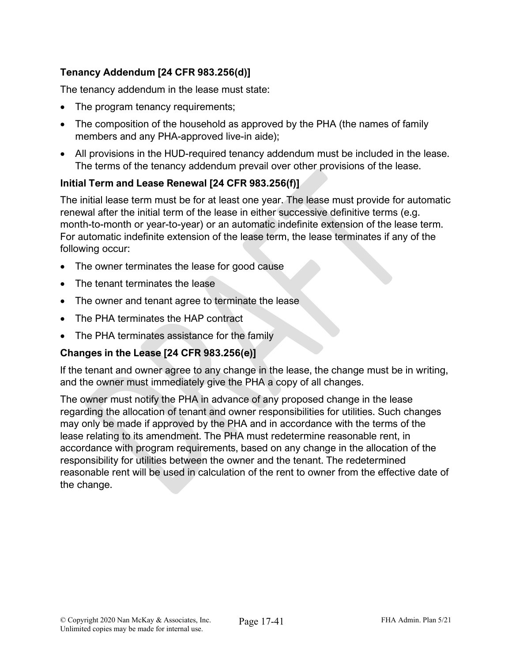# **Tenancy Addendum [24 CFR 983.256(d)]**

The tenancy addendum in the lease must state:

- The program tenancy requirements;
- The composition of the household as approved by the PHA (the names of family members and any PHA-approved live-in aide);
- All provisions in the HUD-required tenancy addendum must be included in the lease. The terms of the tenancy addendum prevail over other provisions of the lease.

### **Initial Term and Lease Renewal [24 CFR 983.256(f)]**

The initial lease term must be for at least one year. The lease must provide for automatic renewal after the initial term of the lease in either successive definitive terms (e.g. month-to-month or year-to-year) or an automatic indefinite extension of the lease term. For automatic indefinite extension of the lease term, the lease terminates if any of the following occur:

- The owner terminates the lease for good cause
- The tenant terminates the lease
- The owner and tenant agree to terminate the lease
- The PHA terminates the HAP contract
- The PHA terminates assistance for the family

### **Changes in the Lease [24 CFR 983.256(e)]**

If the tenant and owner agree to any change in the lease, the change must be in writing, and the owner must immediately give the PHA a copy of all changes.

The owner must notify the PHA in advance of any proposed change in the lease regarding the allocation of tenant and owner responsibilities for utilities. Such changes may only be made if approved by the PHA and in accordance with the terms of the lease relating to its amendment. The PHA must redetermine reasonable rent, in accordance with program requirements, based on any change in the allocation of the responsibility for utilities between the owner and the tenant. The redetermined reasonable rent will be used in calculation of the rent to owner from the effective date of the change.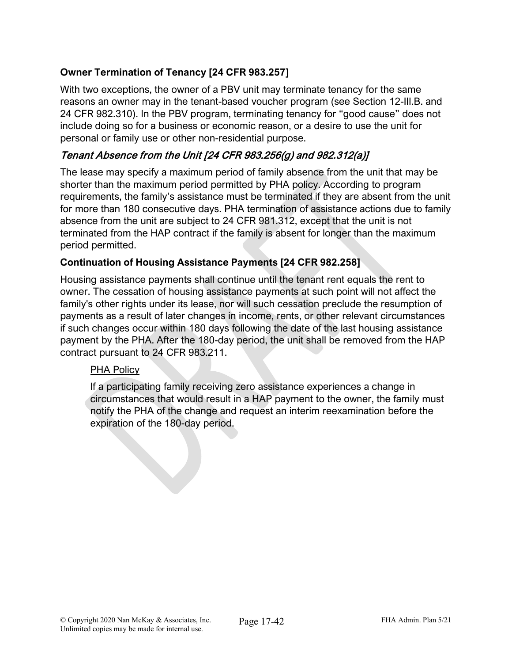### **Owner Termination of Tenancy [24 CFR 983.257]**

With two exceptions, the owner of a PBV unit may terminate tenancy for the same reasons an owner may in the tenant-based voucher program (see Section 12-III.B. and 24 CFR 982.310). In the PBV program, terminating tenancy for "good cause" does not include doing so for a business or economic reason, or a desire to use the unit for personal or family use or other non-residential purpose.

### Tenant Absence from the Unit [24 CFR 983.256(g) and 982.312(a)]

The lease may specify a maximum period of family absence from the unit that may be shorter than the maximum period permitted by PHA policy. According to program requirements, the family's assistance must be terminated if they are absent from the unit for more than 180 consecutive days. PHA termination of assistance actions due to family absence from the unit are subject to 24 CFR 981.312, except that the unit is not terminated from the HAP contract if the family is absent for longer than the maximum period permitted.

#### **Continuation of Housing Assistance Payments [24 CFR 982.258]**

Housing assistance payments shall continue until the tenant rent equals the rent to owner. The cessation of housing assistance payments at such point will not affect the family's other rights under its lease, nor will such cessation preclude the resumption of payments as a result of later changes in income, rents, or other relevant circumstances if such changes occur within 180 days following the date of the last housing assistance payment by the PHA. After the 180-day period, the unit shall be removed from the HAP contract pursuant to 24 CFR 983.211.

#### PHA Policy

If a participating family receiving zero assistance experiences a change in circumstances that would result in a HAP payment to the owner, the family must notify the PHA of the change and request an interim reexamination before the expiration of the 180-day period.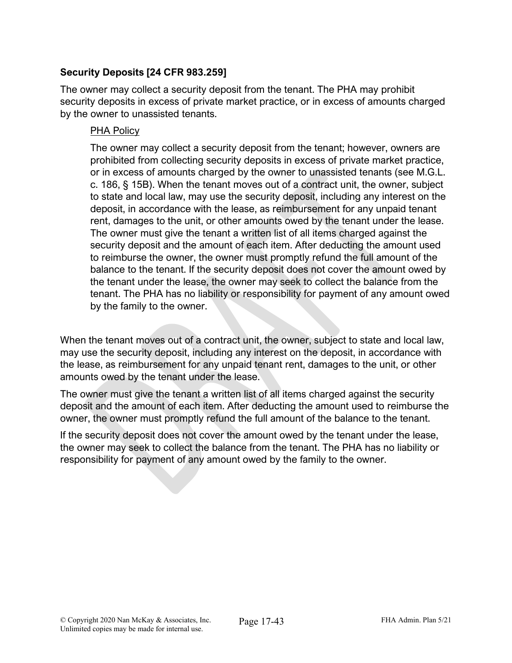### **Security Deposits [24 CFR 983.259]**

The owner may collect a security deposit from the tenant. The PHA may prohibit security deposits in excess of private market practice, or in excess of amounts charged by the owner to unassisted tenants.

#### PHA Policy

The owner may collect a security deposit from the tenant; however, owners are prohibited from collecting security deposits in excess of private market practice, or in excess of amounts charged by the owner to unassisted tenants (see M.G.L. c. 186, § 15B). When the tenant moves out of a contract unit, the owner, subject to state and local law, may use the security deposit, including any interest on the deposit, in accordance with the lease, as reimbursement for any unpaid tenant rent, damages to the unit, or other amounts owed by the tenant under the lease. The owner must give the tenant a written list of all items charged against the security deposit and the amount of each item. After deducting the amount used to reimburse the owner, the owner must promptly refund the full amount of the balance to the tenant. If the security deposit does not cover the amount owed by the tenant under the lease, the owner may seek to collect the balance from the tenant. The PHA has no liability or responsibility for payment of any amount owed by the family to the owner.

When the tenant moves out of a contract unit, the owner, subject to state and local law, may use the security deposit, including any interest on the deposit, in accordance with the lease, as reimbursement for any unpaid tenant rent, damages to the unit, or other amounts owed by the tenant under the lease.

The owner must give the tenant a written list of all items charged against the security deposit and the amount of each item. After deducting the amount used to reimburse the owner, the owner must promptly refund the full amount of the balance to the tenant.

If the security deposit does not cover the amount owed by the tenant under the lease, the owner may seek to collect the balance from the tenant. The PHA has no liability or responsibility for payment of any amount owed by the family to the owner.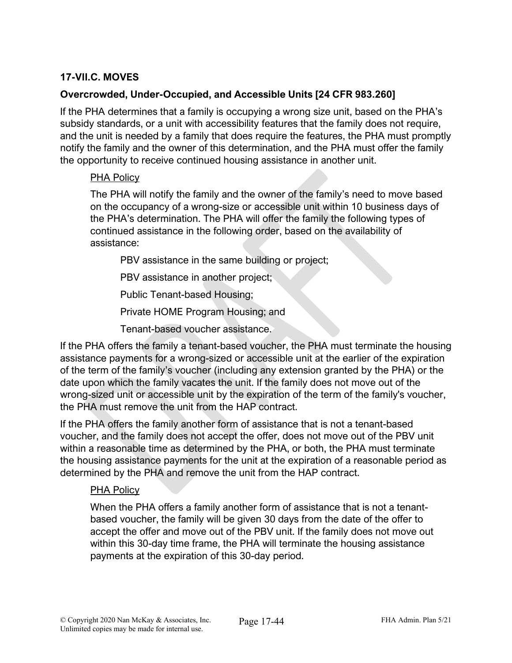### **17-VII.C. MOVES**

### **Overcrowded, Under-Occupied, and Accessible Units [24 CFR 983.260]**

If the PHA determines that a family is occupying a wrong size unit, based on the PHA's subsidy standards, or a unit with accessibility features that the family does not require, and the unit is needed by a family that does require the features, the PHA must promptly notify the family and the owner of this determination, and the PHA must offer the family the opportunity to receive continued housing assistance in another unit.

#### PHA Policy

The PHA will notify the family and the owner of the family's need to move based on the occupancy of a wrong-size or accessible unit within 10 business days of the PHA's determination. The PHA will offer the family the following types of continued assistance in the following order, based on the availability of assistance:

PBV assistance in the same building or project;

PBV assistance in another project;

Public Tenant-based Housing;

Private HOME Program Housing; and

Tenant-based voucher assistance.

If the PHA offers the family a tenant-based voucher, the PHA must terminate the housing assistance payments for a wrong-sized or accessible unit at the earlier of the expiration of the term of the family's voucher (including any extension granted by the PHA) or the date upon which the family vacates the unit. If the family does not move out of the wrong-sized unit or accessible unit by the expiration of the term of the family's voucher, the PHA must remove the unit from the HAP contract.

If the PHA offers the family another form of assistance that is not a tenant-based voucher, and the family does not accept the offer, does not move out of the PBV unit within a reasonable time as determined by the PHA, or both, the PHA must terminate the housing assistance payments for the unit at the expiration of a reasonable period as determined by the PHA and remove the unit from the HAP contract.

### PHA Policy

When the PHA offers a family another form of assistance that is not a tenantbased voucher, the family will be given 30 days from the date of the offer to accept the offer and move out of the PBV unit. If the family does not move out within this 30-day time frame, the PHA will terminate the housing assistance payments at the expiration of this 30-day period.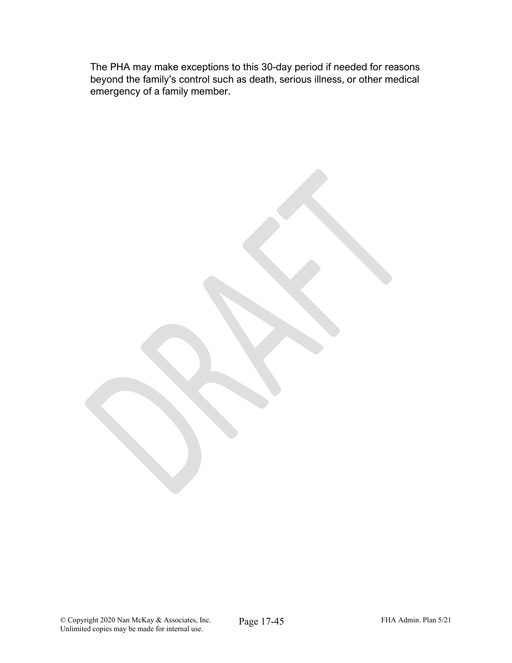The PHA may make exceptions to this 30-day period if needed for reasons beyond the family's control such as death, serious illness, or other medical emergency of a family member.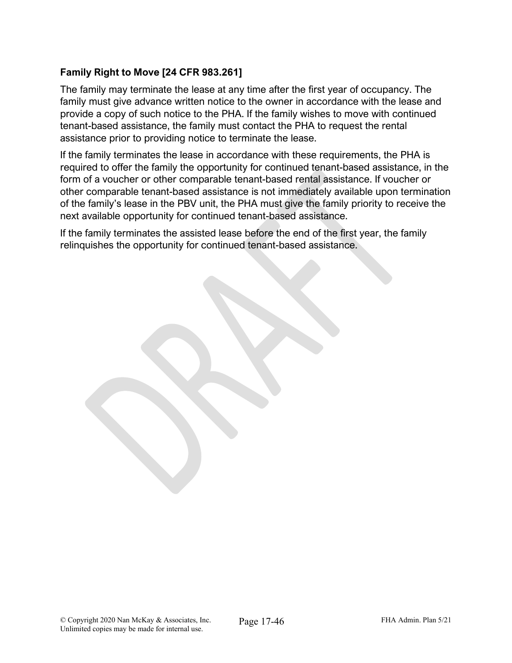### **Family Right to Move [24 CFR 983.261]**

The family may terminate the lease at any time after the first year of occupancy. The family must give advance written notice to the owner in accordance with the lease and provide a copy of such notice to the PHA. If the family wishes to move with continued tenant-based assistance, the family must contact the PHA to request the rental assistance prior to providing notice to terminate the lease.

If the family terminates the lease in accordance with these requirements, the PHA is required to offer the family the opportunity for continued tenant-based assistance, in the form of a voucher or other comparable tenant-based rental assistance. If voucher or other comparable tenant-based assistance is not immediately available upon termination of the family's lease in the PBV unit, the PHA must give the family priority to receive the next available opportunity for continued tenant-based assistance.

If the family terminates the assisted lease before the end of the first year, the family relinquishes the opportunity for continued tenant-based assistance.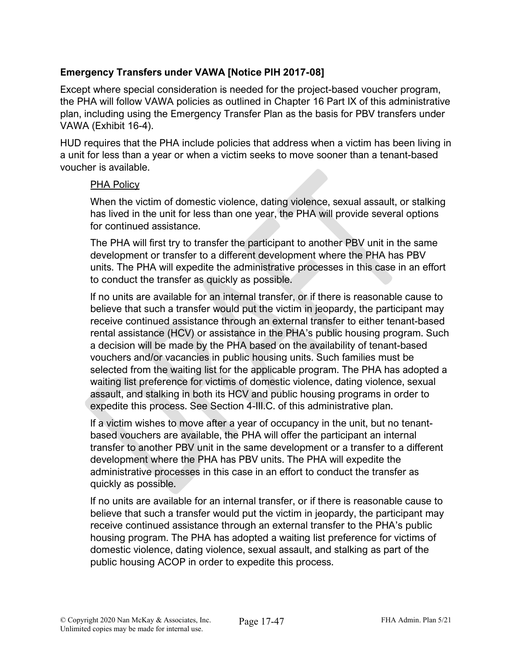### **Emergency Transfers under VAWA [Notice PIH 2017-08]**

Except where special consideration is needed for the project-based voucher program, the PHA will follow VAWA policies as outlined in Chapter 16 Part IX of this administrative plan, including using the Emergency Transfer Plan as the basis for PBV transfers under VAWA (Exhibit 16-4).

HUD requires that the PHA include policies that address when a victim has been living in a unit for less than a year or when a victim seeks to move sooner than a tenant-based voucher is available.

#### PHA Policy

When the victim of domestic violence, dating violence, sexual assault, or stalking has lived in the unit for less than one year, the PHA will provide several options for continued assistance.

The PHA will first try to transfer the participant to another PBV unit in the same development or transfer to a different development where the PHA has PBV units. The PHA will expedite the administrative processes in this case in an effort to conduct the transfer as quickly as possible.

If no units are available for an internal transfer, or if there is reasonable cause to believe that such a transfer would put the victim in jeopardy, the participant may receive continued assistance through an external transfer to either tenant-based rental assistance (HCV) or assistance in the PHA's public housing program. Such a decision will be made by the PHA based on the availability of tenant-based vouchers and/or vacancies in public housing units. Such families must be selected from the waiting list for the applicable program. The PHA has adopted a waiting list preference for victims of domestic violence, dating violence, sexual assault, and stalking in both its HCV and public housing programs in order to expedite this process. See Section 4-III.C. of this administrative plan.

If a victim wishes to move after a year of occupancy in the unit, but no tenantbased vouchers are available, the PHA will offer the participant an internal transfer to another PBV unit in the same development or a transfer to a different development where the PHA has PBV units. The PHA will expedite the administrative processes in this case in an effort to conduct the transfer as quickly as possible.

If no units are available for an internal transfer, or if there is reasonable cause to believe that such a transfer would put the victim in jeopardy, the participant may receive continued assistance through an external transfer to the PHA's public housing program. The PHA has adopted a waiting list preference for victims of domestic violence, dating violence, sexual assault, and stalking as part of the public housing ACOP in order to expedite this process.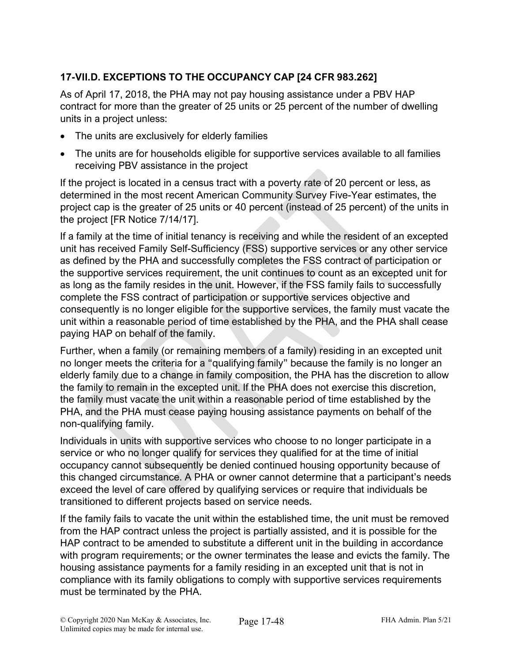# **17-VII.D. EXCEPTIONS TO THE OCCUPANCY CAP [24 CFR 983.262]**

As of April 17, 2018, the PHA may not pay housing assistance under a PBV HAP contract for more than the greater of 25 units or 25 percent of the number of dwelling units in a project unless:

- The units are exclusively for elderly families
- The units are for households eligible for supportive services available to all families receiving PBV assistance in the project

If the project is located in a census tract with a poverty rate of 20 percent or less, as determined in the most recent American Community Survey Five-Year estimates, the project cap is the greater of 25 units or 40 percent (instead of 25 percent) of the units in the project [FR Notice 7/14/17].

If a family at the time of initial tenancy is receiving and while the resident of an excepted unit has received Family Self-Sufficiency (FSS) supportive services or any other service as defined by the PHA and successfully completes the FSS contract of participation or the supportive services requirement, the unit continues to count as an excepted unit for as long as the family resides in the unit. However, if the FSS family fails to successfully complete the FSS contract of participation or supportive services objective and consequently is no longer eligible for the supportive services, the family must vacate the unit within a reasonable period of time established by the PHA, and the PHA shall cease paying HAP on behalf of the family.

Further, when a family (or remaining members of a family) residing in an excepted unit no longer meets the criteria for a "qualifying family" because the family is no longer an elderly family due to a change in family composition, the PHA has the discretion to allow the family to remain in the excepted unit. If the PHA does not exercise this discretion, the family must vacate the unit within a reasonable period of time established by the PHA, and the PHA must cease paying housing assistance payments on behalf of the non-qualifying family.

Individuals in units with supportive services who choose to no longer participate in a service or who no longer qualify for services they qualified for at the time of initial occupancy cannot subsequently be denied continued housing opportunity because of this changed circumstance. A PHA or owner cannot determine that a participant's needs exceed the level of care offered by qualifying services or require that individuals be transitioned to different projects based on service needs.

If the family fails to vacate the unit within the established time, the unit must be removed from the HAP contract unless the project is partially assisted, and it is possible for the HAP contract to be amended to substitute a different unit in the building in accordance with program requirements; or the owner terminates the lease and evicts the family. The housing assistance payments for a family residing in an excepted unit that is not in compliance with its family obligations to comply with supportive services requirements must be terminated by the PHA.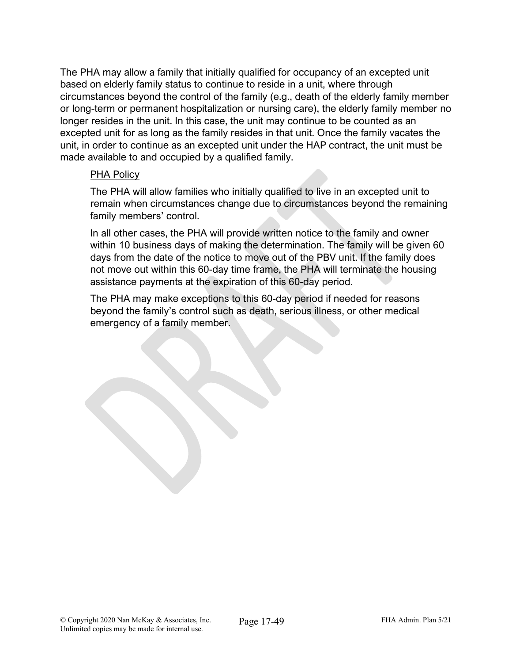The PHA may allow a family that initially qualified for occupancy of an excepted unit based on elderly family status to continue to reside in a unit, where through circumstances beyond the control of the family (e.g., death of the elderly family member or long-term or permanent hospitalization or nursing care), the elderly family member no longer resides in the unit. In this case, the unit may continue to be counted as an excepted unit for as long as the family resides in that unit. Once the family vacates the unit, in order to continue as an excepted unit under the HAP contract, the unit must be made available to and occupied by a qualified family.

#### PHA Policy

The PHA will allow families who initially qualified to live in an excepted unit to remain when circumstances change due to circumstances beyond the remaining family members' control.

In all other cases, the PHA will provide written notice to the family and owner within 10 business days of making the determination. The family will be given 60 days from the date of the notice to move out of the PBV unit. If the family does not move out within this 60-day time frame, the PHA will terminate the housing assistance payments at the expiration of this 60-day period.

The PHA may make exceptions to this 60-day period if needed for reasons beyond the family's control such as death, serious illness, or other medical emergency of a family member.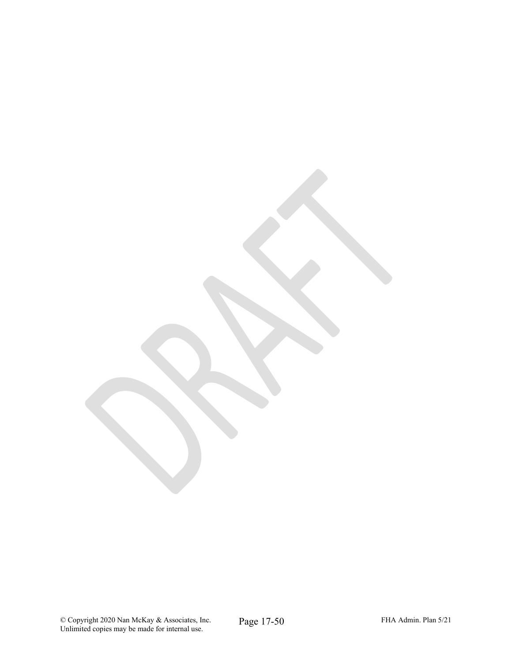© Copyright 2020 Nan McKay & Associates, Inc.  $P_{A\Omega}$  P<sub>1</sub> 17-50 FHA Admin. Plan 5/21 Unlimited copies may be made for internal use.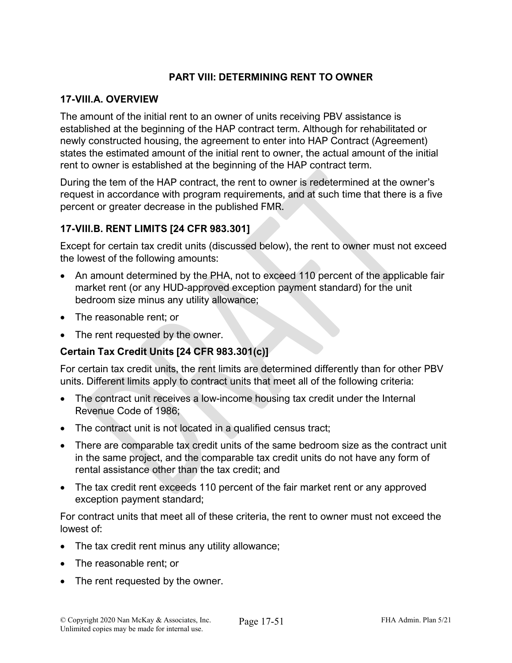### **PART VIII: DETERMINING RENT TO OWNER**

#### **17-VIII.A. OVERVIEW**

The amount of the initial rent to an owner of units receiving PBV assistance is established at the beginning of the HAP contract term. Although for rehabilitated or newly constructed housing, the agreement to enter into HAP Contract (Agreement) states the estimated amount of the initial rent to owner, the actual amount of the initial rent to owner is established at the beginning of the HAP contract term.

During the tem of the HAP contract, the rent to owner is redetermined at the owner's request in accordance with program requirements, and at such time that there is a five percent or greater decrease in the published FMR.

### **17-VIII.B. RENT LIMITS [24 CFR 983.301]**

Except for certain tax credit units (discussed below), the rent to owner must not exceed the lowest of the following amounts:

- An amount determined by the PHA, not to exceed 110 percent of the applicable fair market rent (or any HUD-approved exception payment standard) for the unit bedroom size minus any utility allowance;
- The reasonable rent; or
- The rent requested by the owner.

# **Certain Tax Credit Units [24 CFR 983.301(c)]**

For certain tax credit units, the rent limits are determined differently than for other PBV units. Different limits apply to contract units that meet all of the following criteria:

- The contract unit receives a low-income housing tax credit under the Internal Revenue Code of 1986;
- The contract unit is not located in a qualified census tract;
- There are comparable tax credit units of the same bedroom size as the contract unit in the same project, and the comparable tax credit units do not have any form of rental assistance other than the tax credit; and
- The tax credit rent exceeds 110 percent of the fair market rent or any approved exception payment standard;

For contract units that meet all of these criteria, the rent to owner must not exceed the lowest of:

- The tax credit rent minus any utility allowance;
- The reasonable rent; or
- The rent requested by the owner.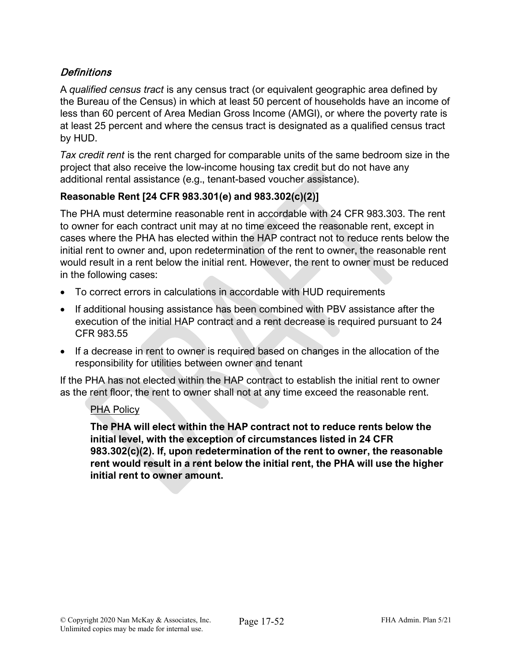# **Definitions**

A *qualified census tract* is any census tract (or equivalent geographic area defined by the Bureau of the Census) in which at least 50 percent of households have an income of less than 60 percent of Area Median Gross Income (AMGI), or where the poverty rate is at least 25 percent and where the census tract is designated as a qualified census tract by HUD.

*Tax credit rent* is the rent charged for comparable units of the same bedroom size in the project that also receive the low-income housing tax credit but do not have any additional rental assistance (e.g., tenant-based voucher assistance).

# **Reasonable Rent [24 CFR 983.301(e) and 983.302(c)(2)]**

The PHA must determine reasonable rent in accordable with 24 CFR 983.303. The rent to owner for each contract unit may at no time exceed the reasonable rent, except in cases where the PHA has elected within the HAP contract not to reduce rents below the initial rent to owner and, upon redetermination of the rent to owner, the reasonable rent would result in a rent below the initial rent. However, the rent to owner must be reduced in the following cases:

- To correct errors in calculations in accordable with HUD requirements
- If additional housing assistance has been combined with PBV assistance after the execution of the initial HAP contract and a rent decrease is required pursuant to 24 CFR 983.55
- If a decrease in rent to owner is required based on changes in the allocation of the responsibility for utilities between owner and tenant

If the PHA has not elected within the HAP contract to establish the initial rent to owner as the rent floor, the rent to owner shall not at any time exceed the reasonable rent.

### **PHA Policy**

**The PHA will elect within the HAP contract not to reduce rents below the initial level, with the exception of circumstances listed in 24 CFR 983.302(c)(2). If, upon redetermination of the rent to owner, the reasonable rent would result in a rent below the initial rent, the PHA will use the higher initial rent to owner amount.**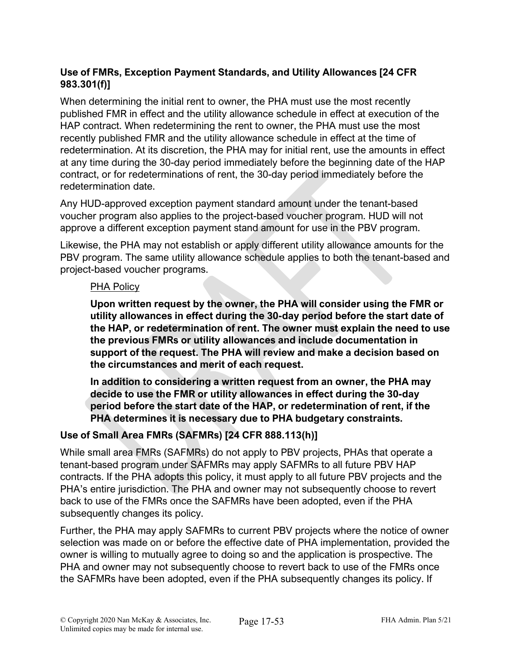### **Use of FMRs, Exception Payment Standards, and Utility Allowances [24 CFR 983.301(f)]**

When determining the initial rent to owner, the PHA must use the most recently published FMR in effect and the utility allowance schedule in effect at execution of the HAP contract. When redetermining the rent to owner, the PHA must use the most recently published FMR and the utility allowance schedule in effect at the time of redetermination. At its discretion, the PHA may for initial rent, use the amounts in effect at any time during the 30-day period immediately before the beginning date of the HAP contract, or for redeterminations of rent, the 30-day period immediately before the redetermination date.

Any HUD-approved exception payment standard amount under the tenant-based voucher program also applies to the project-based voucher program. HUD will not approve a different exception payment stand amount for use in the PBV program.

Likewise, the PHA may not establish or apply different utility allowance amounts for the PBV program. The same utility allowance schedule applies to both the tenant-based and project-based voucher programs.

### **PHA Policy**

**Upon written request by the owner, the PHA will consider using the FMR or utility allowances in effect during the 30-day period before the start date of the HAP, or redetermination of rent. The owner must explain the need to use the previous FMRs or utility allowances and include documentation in support of the request. The PHA will review and make a decision based on the circumstances and merit of each request.** 

**In addition to considering a written request from an owner, the PHA may decide to use the FMR or utility allowances in effect during the 30-day period before the start date of the HAP, or redetermination of rent, if the PHA determines it is necessary due to PHA budgetary constraints.**

### **Use of Small Area FMRs (SAFMRs) [24 CFR 888.113(h)]**

While small area FMRs (SAFMRs) do not apply to PBV projects, PHAs that operate a tenant-based program under SAFMRs may apply SAFMRs to all future PBV HAP contracts. If the PHA adopts this policy, it must apply to all future PBV projects and the PHA's entire jurisdiction. The PHA and owner may not subsequently choose to revert back to use of the FMRs once the SAFMRs have been adopted, even if the PHA subsequently changes its policy.

Further, the PHA may apply SAFMRs to current PBV projects where the notice of owner selection was made on or before the effective date of PHA implementation, provided the owner is willing to mutually agree to doing so and the application is prospective. The PHA and owner may not subsequently choose to revert back to use of the FMRs once the SAFMRs have been adopted, even if the PHA subsequently changes its policy. If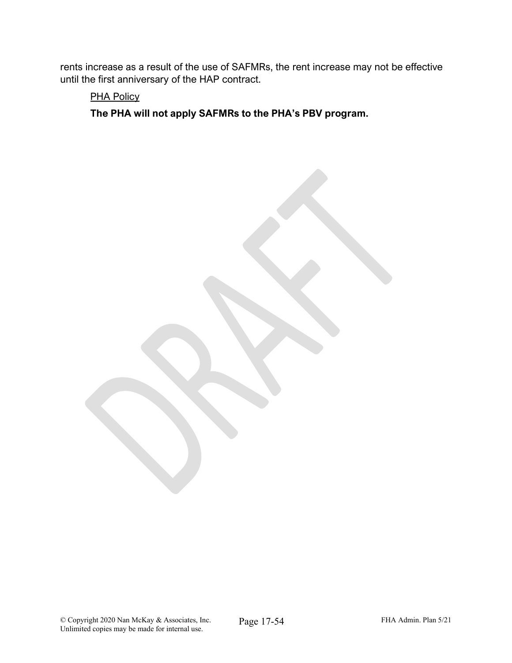rents increase as a result of the use of SAFMRs, the rent increase may not be effective until the first anniversary of the HAP contract.

### **PHA Policy**

**The PHA will not apply SAFMRs to the PHA's PBV program.**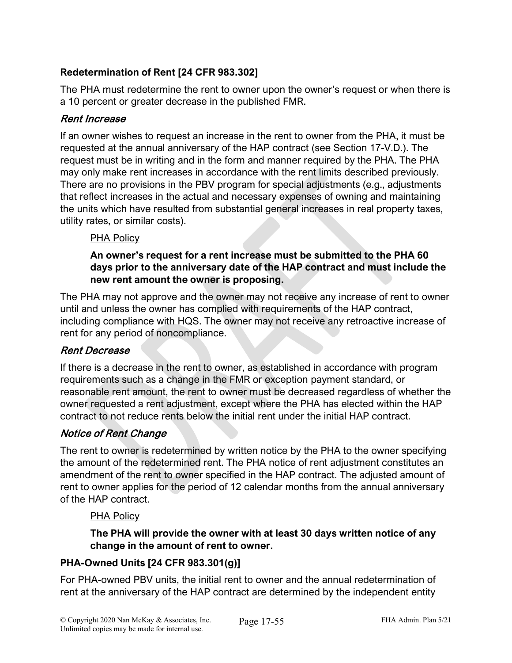### **Redetermination of Rent [24 CFR 983.302]**

The PHA must redetermine the rent to owner upon the owner's request or when there is a 10 percent or greater decrease in the published FMR.

### Rent Increase

If an owner wishes to request an increase in the rent to owner from the PHA, it must be requested at the annual anniversary of the HAP contract (see Section 17-V.D.). The request must be in writing and in the form and manner required by the PHA. The PHA may only make rent increases in accordance with the rent limits described previously. There are no provisions in the PBV program for special adjustments (e.g., adjustments that reflect increases in the actual and necessary expenses of owning and maintaining the units which have resulted from substantial general increases in real property taxes, utility rates, or similar costs).

### PHA Policy

#### **An owner's request for a rent increase must be submitted to the PHA 60 days prior to the anniversary date of the HAP contract and must include the new rent amount the owner is proposing.**

The PHA may not approve and the owner may not receive any increase of rent to owner until and unless the owner has complied with requirements of the HAP contract, including compliance with HQS. The owner may not receive any retroactive increase of rent for any period of noncompliance.

#### Rent Decrease

If there is a decrease in the rent to owner, as established in accordance with program requirements such as a change in the FMR or exception payment standard, or reasonable rent amount, the rent to owner must be decreased regardless of whether the owner requested a rent adjustment, except where the PHA has elected within the HAP contract to not reduce rents below the initial rent under the initial HAP contract.

### Notice of Rent Change

The rent to owner is redetermined by written notice by the PHA to the owner specifying the amount of the redetermined rent. The PHA notice of rent adjustment constitutes an amendment of the rent to owner specified in the HAP contract. The adjusted amount of rent to owner applies for the period of 12 calendar months from the annual anniversary of the HAP contract.

### PHA Policy

### **The PHA will provide the owner with at least 30 days written notice of any change in the amount of rent to owner.**

### **PHA-Owned Units [24 CFR 983.301(g)]**

For PHA-owned PBV units, the initial rent to owner and the annual redetermination of rent at the anniversary of the HAP contract are determined by the independent entity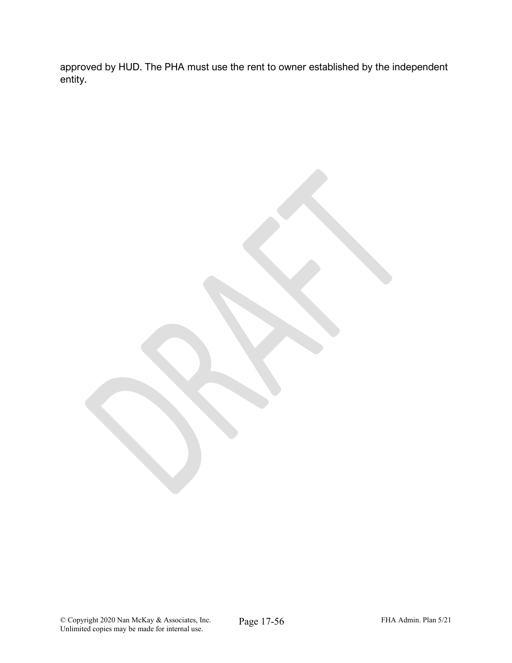approved by HUD. The PHA must use the rent to owner established by the independent entity.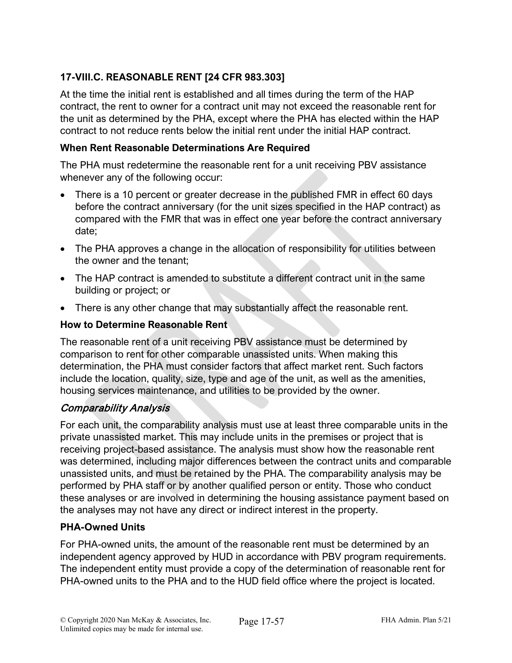# **17-VIII.C. REASONABLE RENT [24 CFR 983.303]**

At the time the initial rent is established and all times during the term of the HAP contract, the rent to owner for a contract unit may not exceed the reasonable rent for the unit as determined by the PHA, except where the PHA has elected within the HAP contract to not reduce rents below the initial rent under the initial HAP contract.

#### **When Rent Reasonable Determinations Are Required**

The PHA must redetermine the reasonable rent for a unit receiving PBV assistance whenever any of the following occur:

- There is a 10 percent or greater decrease in the published FMR in effect 60 days before the contract anniversary (for the unit sizes specified in the HAP contract) as compared with the FMR that was in effect one year before the contract anniversary date;
- The PHA approves a change in the allocation of responsibility for utilities between the owner and the tenant;
- The HAP contract is amended to substitute a different contract unit in the same building or project; or
- There is any other change that may substantially affect the reasonable rent.

### **How to Determine Reasonable Rent**

The reasonable rent of a unit receiving PBV assistance must be determined by comparison to rent for other comparable unassisted units. When making this determination, the PHA must consider factors that affect market rent. Such factors include the location, quality, size, type and age of the unit, as well as the amenities, housing services maintenance, and utilities to be provided by the owner.

### Comparability Analysis

For each unit, the comparability analysis must use at least three comparable units in the private unassisted market. This may include units in the premises or project that is receiving project-based assistance. The analysis must show how the reasonable rent was determined, including major differences between the contract units and comparable unassisted units, and must be retained by the PHA. The comparability analysis may be performed by PHA staff or by another qualified person or entity. Those who conduct these analyses or are involved in determining the housing assistance payment based on the analyses may not have any direct or indirect interest in the property.

### **PHA-Owned Units**

For PHA-owned units, the amount of the reasonable rent must be determined by an independent agency approved by HUD in accordance with PBV program requirements. The independent entity must provide a copy of the determination of reasonable rent for PHA-owned units to the PHA and to the HUD field office where the project is located.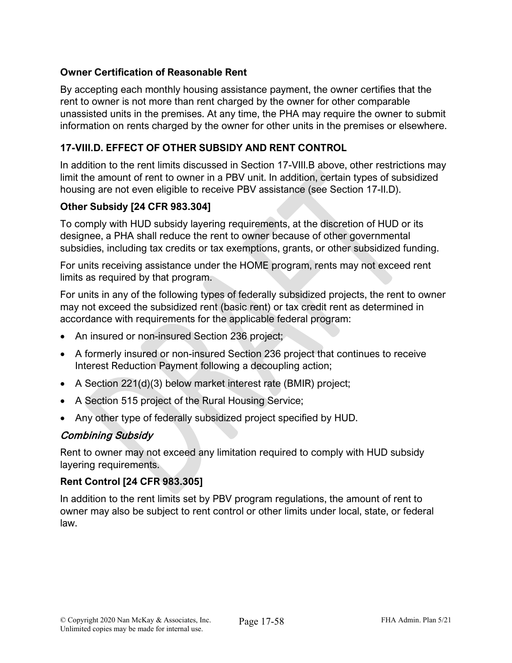### **Owner Certification of Reasonable Rent**

By accepting each monthly housing assistance payment, the owner certifies that the rent to owner is not more than rent charged by the owner for other comparable unassisted units in the premises. At any time, the PHA may require the owner to submit information on rents charged by the owner for other units in the premises or elsewhere.

# **17-VIII.D. EFFECT OF OTHER SUBSIDY AND RENT CONTROL**

In addition to the rent limits discussed in Section 17-VIII.B above, other restrictions may limit the amount of rent to owner in a PBV unit. In addition, certain types of subsidized housing are not even eligible to receive PBV assistance (see Section 17-II.D).

### **Other Subsidy [24 CFR 983.304]**

To comply with HUD subsidy layering requirements, at the discretion of HUD or its designee, a PHA shall reduce the rent to owner because of other governmental subsidies, including tax credits or tax exemptions, grants, or other subsidized funding.

For units receiving assistance under the HOME program, rents may not exceed rent limits as required by that program.

For units in any of the following types of federally subsidized projects, the rent to owner may not exceed the subsidized rent (basic rent) or tax credit rent as determined in accordance with requirements for the applicable federal program:

- An insured or non-insured Section 236 project;
- A formerly insured or non-insured Section 236 project that continues to receive Interest Reduction Payment following a decoupling action;
- A Section 221(d)(3) below market interest rate (BMIR) project;
- A Section 515 project of the Rural Housing Service;
- Any other type of federally subsidized project specified by HUD.

### Combining Subsidy

Rent to owner may not exceed any limitation required to comply with HUD subsidy layering requirements.

### **Rent Control [24 CFR 983.305]**

In addition to the rent limits set by PBV program regulations, the amount of rent to owner may also be subject to rent control or other limits under local, state, or federal law.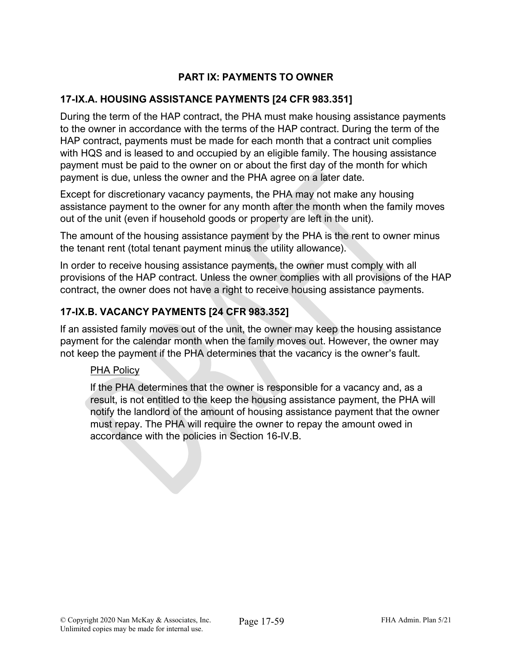## **PART IX: PAYMENTS TO OWNER**

### **17-IX.A. HOUSING ASSISTANCE PAYMENTS [24 CFR 983.351]**

During the term of the HAP contract, the PHA must make housing assistance payments to the owner in accordance with the terms of the HAP contract. During the term of the HAP contract, payments must be made for each month that a contract unit complies with HQS and is leased to and occupied by an eligible family. The housing assistance payment must be paid to the owner on or about the first day of the month for which payment is due, unless the owner and the PHA agree on a later date.

Except for discretionary vacancy payments, the PHA may not make any housing assistance payment to the owner for any month after the month when the family moves out of the unit (even if household goods or property are left in the unit).

The amount of the housing assistance payment by the PHA is the rent to owner minus the tenant rent (total tenant payment minus the utility allowance).

In order to receive housing assistance payments, the owner must comply with all provisions of the HAP contract. Unless the owner complies with all provisions of the HAP contract, the owner does not have a right to receive housing assistance payments.

### **17-IX.B. VACANCY PAYMENTS [24 CFR 983.352]**

If an assisted family moves out of the unit, the owner may keep the housing assistance payment for the calendar month when the family moves out. However, the owner may not keep the payment if the PHA determines that the vacancy is the owner's fault.

### **PHA Policy**

If the PHA determines that the owner is responsible for a vacancy and, as a result, is not entitled to the keep the housing assistance payment, the PHA will notify the landlord of the amount of housing assistance payment that the owner must repay. The PHA will require the owner to repay the amount owed in accordance with the policies in Section 16-IV.B.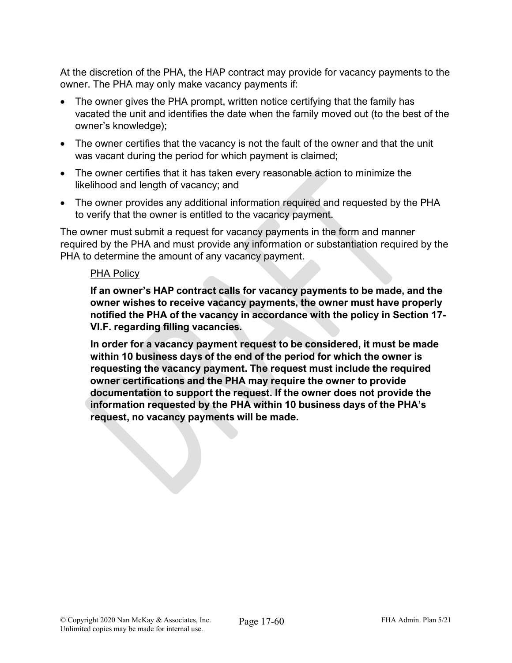At the discretion of the PHA, the HAP contract may provide for vacancy payments to the owner. The PHA may only make vacancy payments if:

- The owner gives the PHA prompt, written notice certifying that the family has vacated the unit and identifies the date when the family moved out (to the best of the owner's knowledge);
- The owner certifies that the vacancy is not the fault of the owner and that the unit was vacant during the period for which payment is claimed;
- The owner certifies that it has taken every reasonable action to minimize the likelihood and length of vacancy; and
- The owner provides any additional information required and requested by the PHA to verify that the owner is entitled to the vacancy payment.

The owner must submit a request for vacancy payments in the form and manner required by the PHA and must provide any information or substantiation required by the PHA to determine the amount of any vacancy payment.

#### PHA Policy

**If an owner's HAP contract calls for vacancy payments to be made, and the owner wishes to receive vacancy payments, the owner must have properly notified the PHA of the vacancy in accordance with the policy in Section 17- VI.F. regarding filling vacancies.**

**In order for a vacancy payment request to be considered, it must be made within 10 business days of the end of the period for which the owner is requesting the vacancy payment. The request must include the required owner certifications and the PHA may require the owner to provide documentation to support the request. If the owner does not provide the information requested by the PHA within 10 business days of the PHA's request, no vacancy payments will be made.**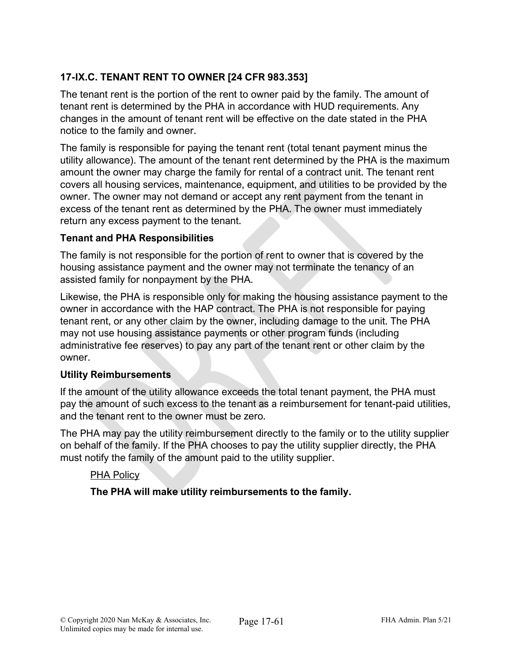## **17-IX.C. TENANT RENT TO OWNER [24 CFR 983.353]**

The tenant rent is the portion of the rent to owner paid by the family. The amount of tenant rent is determined by the PHA in accordance with HUD requirements. Any changes in the amount of tenant rent will be effective on the date stated in the PHA notice to the family and owner.

The family is responsible for paying the tenant rent (total tenant payment minus the utility allowance). The amount of the tenant rent determined by the PHA is the maximum amount the owner may charge the family for rental of a contract unit. The tenant rent covers all housing services, maintenance, equipment, and utilities to be provided by the owner. The owner may not demand or accept any rent payment from the tenant in excess of the tenant rent as determined by the PHA. The owner must immediately return any excess payment to the tenant.

#### **Tenant and PHA Responsibilities**

The family is not responsible for the portion of rent to owner that is covered by the housing assistance payment and the owner may not terminate the tenancy of an assisted family for nonpayment by the PHA.

Likewise, the PHA is responsible only for making the housing assistance payment to the owner in accordance with the HAP contract. The PHA is not responsible for paying tenant rent, or any other claim by the owner, including damage to the unit. The PHA may not use housing assistance payments or other program funds (including administrative fee reserves) to pay any part of the tenant rent or other claim by the owner.

#### **Utility Reimbursements**

If the amount of the utility allowance exceeds the total tenant payment, the PHA must pay the amount of such excess to the tenant as a reimbursement for tenant-paid utilities, and the tenant rent to the owner must be zero.

The PHA may pay the utility reimbursement directly to the family or to the utility supplier on behalf of the family. If the PHA chooses to pay the utility supplier directly, the PHA must notify the family of the amount paid to the utility supplier.

### **PHA Policy**

### **The PHA will make utility reimbursements to the family.**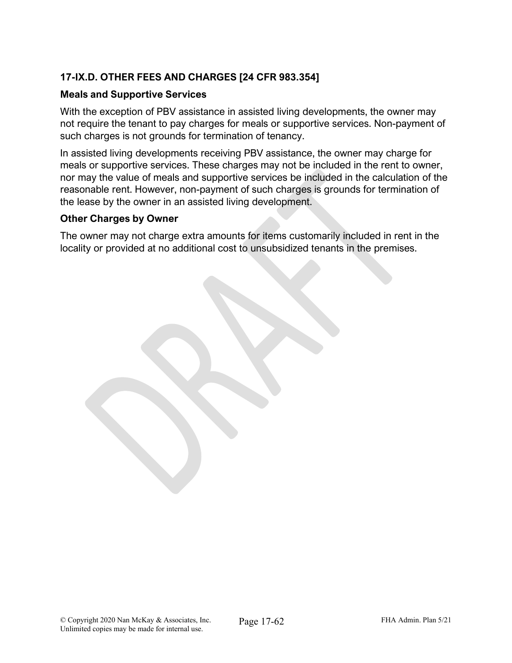### **17-IX.D. OTHER FEES AND CHARGES [24 CFR 983.354]**

#### **Meals and Supportive Services**

With the exception of PBV assistance in assisted living developments, the owner may not require the tenant to pay charges for meals or supportive services. Non-payment of such charges is not grounds for termination of tenancy.

In assisted living developments receiving PBV assistance, the owner may charge for meals or supportive services. These charges may not be included in the rent to owner, nor may the value of meals and supportive services be included in the calculation of the reasonable rent. However, non-payment of such charges is grounds for termination of the lease by the owner in an assisted living development.

#### **Other Charges by Owner**

The owner may not charge extra amounts for items customarily included in rent in the locality or provided at no additional cost to unsubsidized tenants in the premises.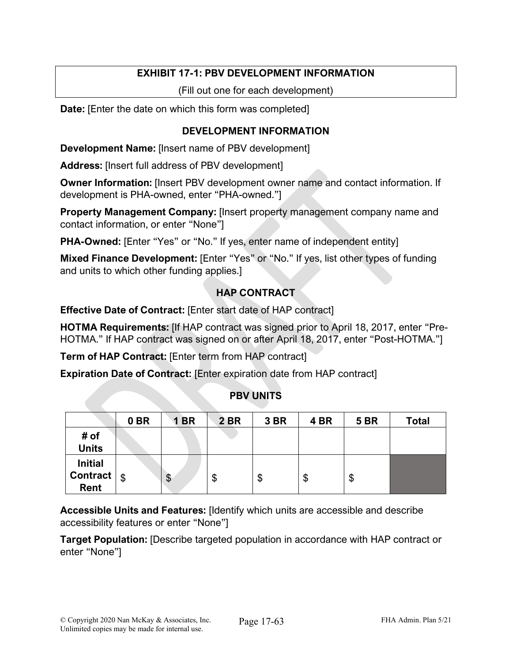### **EXHIBIT 17-1: PBV DEVELOPMENT INFORMATION**

(Fill out one for each development)

**Date:** [Enter the date on which this form was completed]

#### **DEVELOPMENT INFORMATION**

**Development Name:** [Insert name of PBV development]

**Address:** [Insert full address of PBV development]

**Owner Information:** [Insert PBV development owner name and contact information. If development is PHA-owned, enter "PHA-owned."]

**Property Management Company: [Insert property management company name and ]** contact information, or enter "None"]

**PHA-Owned:** [Enter "Yes" or "No." If yes, enter name of independent entity]

**Mixed Finance Development:** [Enter "Yes" or "No." If yes, list other types of funding and units to which other funding applies.]

### **HAP CONTRACT**

**Effective Date of Contract:** [Enter start date of HAP contract]

**HOTMA Requirements:** [If HAP contract was signed prior to April 18, 2017, enter "Pre-HOTMA." If HAP contract was signed on or after April 18, 2017, enter "Post-HOTMA."]

**Term of HAP Contract:** [Enter term from HAP contract]

**Expiration Date of Contract:** [Enter expiration date from HAP contract]

|                                    | 0 <sub>BR</sub> | <b>BR</b><br>1 | <b>2 BR</b> | 3 BR | 4 BR | <b>5 BR</b> | <b>Total</b> |
|------------------------------------|-----------------|----------------|-------------|------|------|-------------|--------------|
| # of<br>Units                      |                 |                |             |      |      |             |              |
| <b>Initial</b><br>Contract<br>Rent | \$              | \$             | \$          | \$   | \$   | \$          |              |

# **PBV UNITS**

**Accessible Units and Features:** [Identify which units are accessible and describe accessibility features or enter "None"]

**Target Population:** [Describe targeted population in accordance with HAP contract or enter "None"]